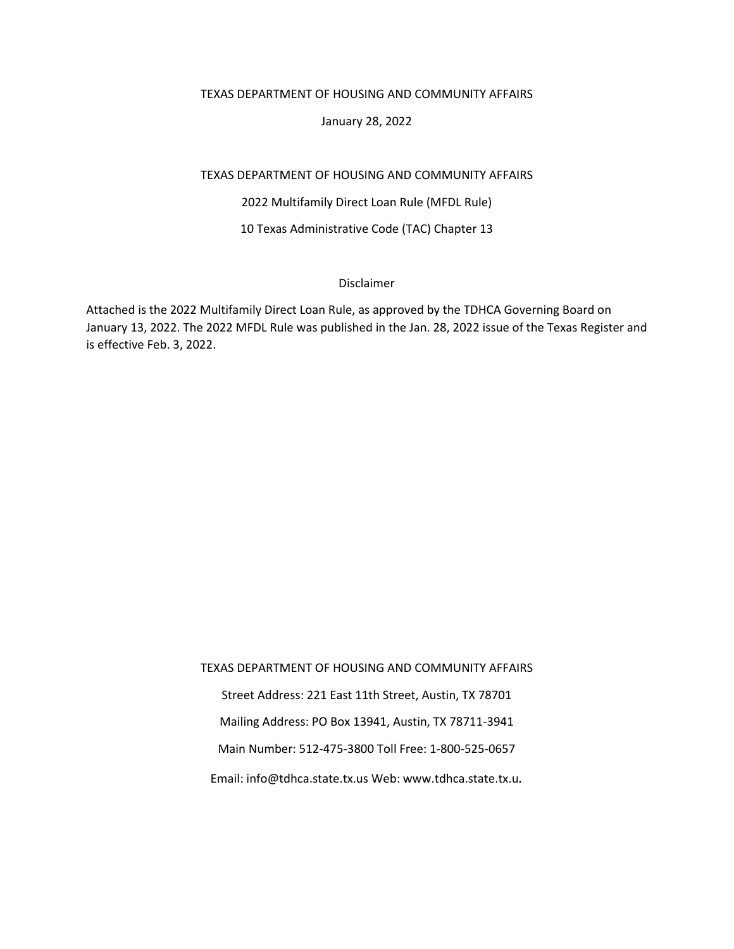#### TEXAS DEPARTMENT OF HOUSING AND COMMUNITY AFFAIRS

#### January 28, 2022

#### TEXAS DEPARTMENT OF HOUSING AND COMMUNITY AFFAIRS

2022 Multifamily Direct Loan Rule (MFDL Rule)

#### 10 Texas Administrative Code (TAC) Chapter 13

#### Disclaimer

Attached is the 2022 Multifamily Direct Loan Rule, as approved by the TDHCA Governing Board on January 13, 2022. The 2022 MFDL Rule was published in the Jan. 28, 2022 issue of the Texas Register and is effective Feb. 3, 2022.

TEXAS DEPARTMENT OF HOUSING AND COMMUNITY AFFAIRS

Street Address: 221 East 11th Street, Austin, TX 78701

Mailing Address: PO Box 13941, Austin, TX 78711-3941

Main Number: 512-475-3800 Toll Free: 1-800-525-0657

Email: info@tdhca.state.tx.us Web: www.tdhca.state.tx.u*.*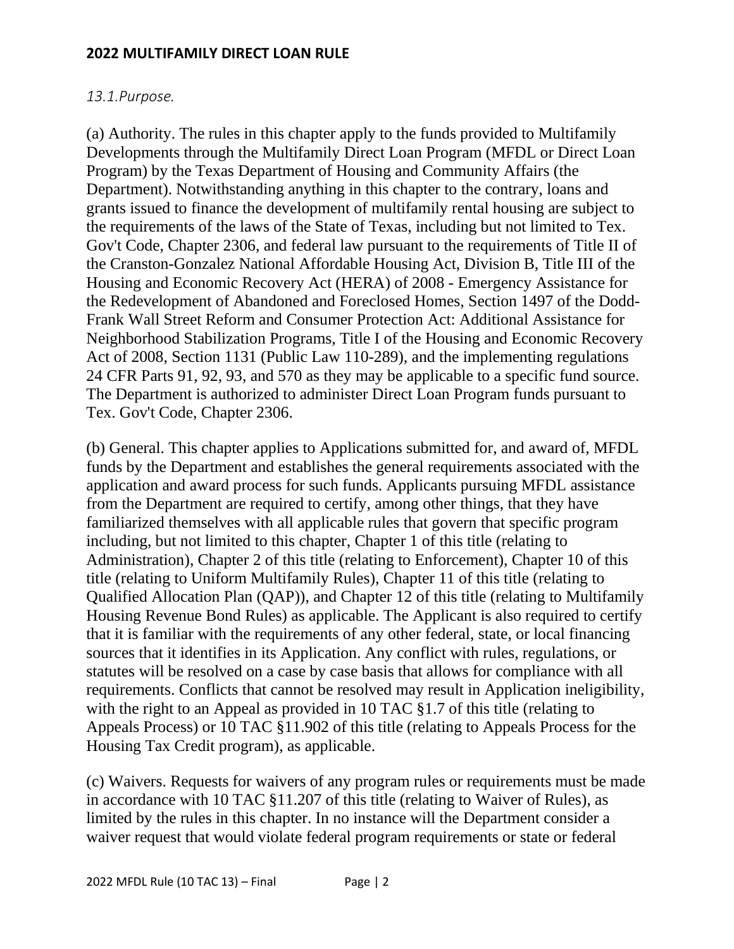# *13.1.Purpose.*

(a) Authority. The rules in this chapter apply to the funds provided to Multifamily Developments through the Multifamily Direct Loan Program (MFDL or Direct Loan Program) by the Texas Department of Housing and Community Affairs (the Department). Notwithstanding anything in this chapter to the contrary, loans and grants issued to finance the development of multifamily rental housing are subject to the requirements of the laws of the State of Texas, including but not limited to Tex. Gov't Code, Chapter 2306, and federal law pursuant to the requirements of Title II of the Cranston-Gonzalez National Affordable Housing Act, Division B, Title III of the Housing and Economic Recovery Act (HERA) of 2008 - Emergency Assistance for the Redevelopment of Abandoned and Foreclosed Homes, Section 1497 of the Dodd-Frank Wall Street Reform and Consumer Protection Act: Additional Assistance for Neighborhood Stabilization Programs, Title I of the Housing and Economic Recovery Act of 2008, Section 1131 (Public Law 110-289), and the implementing regulations 24 CFR Parts 91, 92, 93, and 570 as they may be applicable to a specific fund source. The Department is authorized to administer Direct Loan Program funds pursuant to Tex. Gov't Code, Chapter 2306.

(b) General. This chapter applies to Applications submitted for, and award of, MFDL funds by the Department and establishes the general requirements associated with the application and award process for such funds. Applicants pursuing MFDL assistance from the Department are required to certify, among other things, that they have familiarized themselves with all applicable rules that govern that specific program including, but not limited to this chapter, Chapter 1 of this title (relating to Administration), Chapter 2 of this title (relating to Enforcement), Chapter 10 of this title (relating to Uniform Multifamily Rules), Chapter 11 of this title (relating to Qualified Allocation Plan (QAP)), and Chapter 12 of this title (relating to Multifamily Housing Revenue Bond Rules) as applicable. The Applicant is also required to certify that it is familiar with the requirements of any other federal, state, or local financing sources that it identifies in its Application. Any conflict with rules, regulations, or statutes will be resolved on a case by case basis that allows for compliance with all requirements. Conflicts that cannot be resolved may result in Application ineligibility, with the right to an Appeal as provided in 10 TAC §1.7 of this title (relating to Appeals Process) or 10 TAC §11.902 of this title (relating to Appeals Process for the Housing Tax Credit program), as applicable.

(c) Waivers. Requests for waivers of any program rules or requirements must be made in accordance with 10 TAC §11.207 of this title (relating to Waiver of Rules), as limited by the rules in this chapter. In no instance will the Department consider a waiver request that would violate federal program requirements or state or federal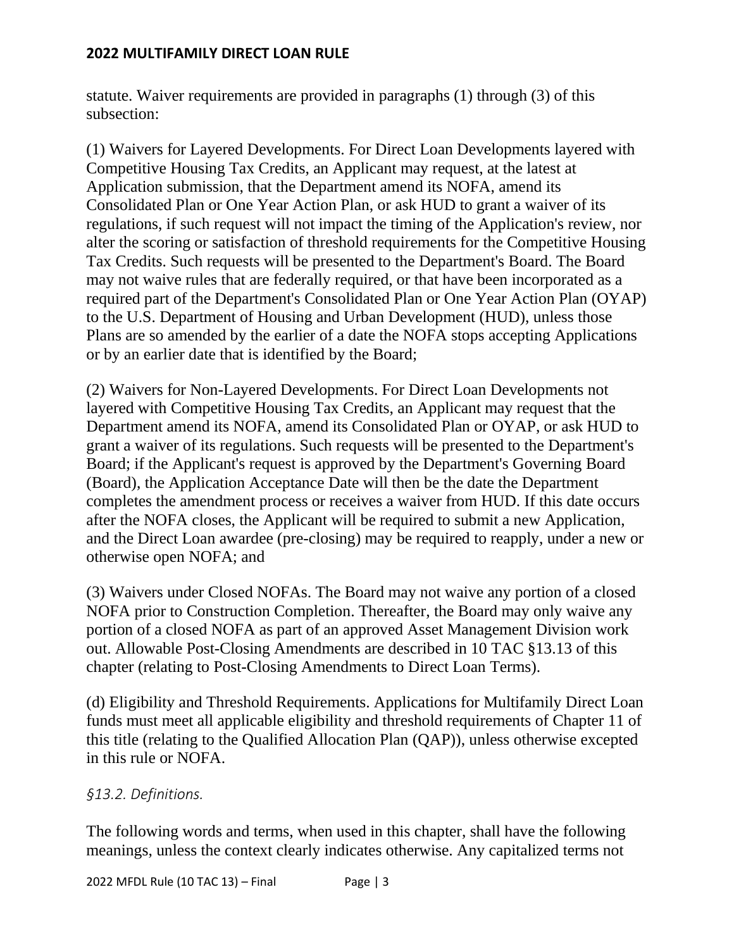statute. Waiver requirements are provided in paragraphs (1) through (3) of this subsection:

(1) Waivers for Layered Developments. For Direct Loan Developments layered with Competitive Housing Tax Credits, an Applicant may request, at the latest at Application submission, that the Department amend its NOFA, amend its Consolidated Plan or One Year Action Plan, or ask HUD to grant a waiver of its regulations, if such request will not impact the timing of the Application's review, nor alter the scoring or satisfaction of threshold requirements for the Competitive Housing Tax Credits. Such requests will be presented to the Department's Board. The Board may not waive rules that are federally required, or that have been incorporated as a required part of the Department's Consolidated Plan or One Year Action Plan (OYAP) to the U.S. Department of Housing and Urban Development (HUD), unless those Plans are so amended by the earlier of a date the NOFA stops accepting Applications or by an earlier date that is identified by the Board;

(2) Waivers for Non-Layered Developments. For Direct Loan Developments not layered with Competitive Housing Tax Credits, an Applicant may request that the Department amend its NOFA, amend its Consolidated Plan or OYAP, or ask HUD to grant a waiver of its regulations. Such requests will be presented to the Department's Board; if the Applicant's request is approved by the Department's Governing Board (Board), the Application Acceptance Date will then be the date the Department completes the amendment process or receives a waiver from HUD. If this date occurs after the NOFA closes, the Applicant will be required to submit a new Application, and the Direct Loan awardee (pre-closing) may be required to reapply, under a new or otherwise open NOFA; and

(3) Waivers under Closed NOFAs. The Board may not waive any portion of a closed NOFA prior to Construction Completion. Thereafter, the Board may only waive any portion of a closed NOFA as part of an approved Asset Management Division work out. Allowable Post-Closing Amendments are described in 10 TAC §13.13 of this chapter (relating to Post-Closing Amendments to Direct Loan Terms).

(d) Eligibility and Threshold Requirements. Applications for Multifamily Direct Loan funds must meet all applicable eligibility and threshold requirements of Chapter 11 of this title (relating to the Qualified Allocation Plan (QAP)), unless otherwise excepted in this rule or NOFA.

# *§13.2. Definitions.*

The following words and terms, when used in this chapter, shall have the following meanings, unless the context clearly indicates otherwise. Any capitalized terms not

2022 MFDL Rule (10 TAC 13) – Final Page | 3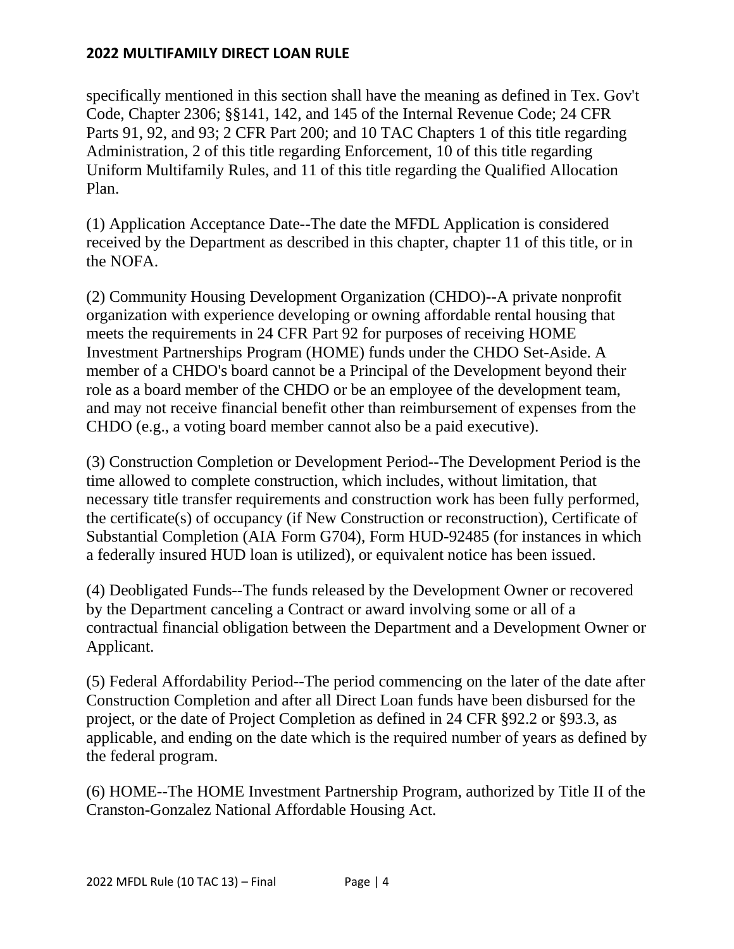specifically mentioned in this section shall have the meaning as defined in Tex. Gov't Code, Chapter 2306; §§141, 142, and 145 of the Internal Revenue Code; 24 CFR Parts 91, 92, and 93; 2 CFR Part 200; and 10 TAC Chapters 1 of this title regarding Administration, 2 of this title regarding Enforcement, 10 of this title regarding Uniform Multifamily Rules, and 11 of this title regarding the Qualified Allocation Plan.

(1) Application Acceptance Date--The date the MFDL Application is considered received by the Department as described in this chapter, chapter 11 of this title, or in the NOFA.

(2) Community Housing Development Organization (CHDO)--A private nonprofit organization with experience developing or owning affordable rental housing that meets the requirements in 24 CFR Part 92 for purposes of receiving HOME Investment Partnerships Program (HOME) funds under the CHDO Set-Aside. A member of a CHDO's board cannot be a Principal of the Development beyond their role as a board member of the CHDO or be an employee of the development team, and may not receive financial benefit other than reimbursement of expenses from the CHDO (e.g., a voting board member cannot also be a paid executive).

(3) Construction Completion or Development Period--The Development Period is the time allowed to complete construction, which includes, without limitation, that necessary title transfer requirements and construction work has been fully performed, the certificate(s) of occupancy (if New Construction or reconstruction), Certificate of Substantial Completion (AIA Form G704), Form HUD-92485 (for instances in which a federally insured HUD loan is utilized), or equivalent notice has been issued.

(4) Deobligated Funds--The funds released by the Development Owner or recovered by the Department canceling a Contract or award involving some or all of a contractual financial obligation between the Department and a Development Owner or Applicant.

(5) Federal Affordability Period--The period commencing on the later of the date after Construction Completion and after all Direct Loan funds have been disbursed for the project, or the date of Project Completion as defined in 24 CFR §92.2 or §93.3, as applicable, and ending on the date which is the required number of years as defined by the federal program.

(6) HOME--The HOME Investment Partnership Program, authorized by Title II of the Cranston-Gonzalez National Affordable Housing Act.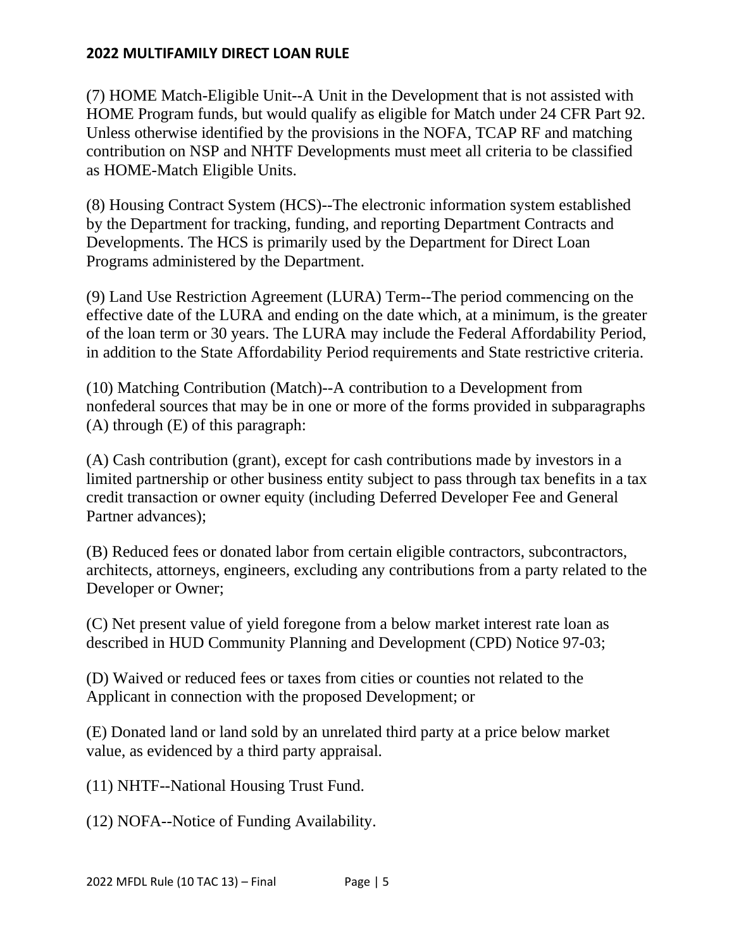(7) HOME Match-Eligible Unit--A Unit in the Development that is not assisted with HOME Program funds, but would qualify as eligible for Match under 24 CFR Part 92. Unless otherwise identified by the provisions in the NOFA, TCAP RF and matching contribution on NSP and NHTF Developments must meet all criteria to be classified as HOME-Match Eligible Units.

(8) Housing Contract System (HCS)--The electronic information system established by the Department for tracking, funding, and reporting Department Contracts and Developments. The HCS is primarily used by the Department for Direct Loan Programs administered by the Department.

(9) Land Use Restriction Agreement (LURA) Term--The period commencing on the effective date of the LURA and ending on the date which, at a minimum, is the greater of the loan term or 30 years. The LURA may include the Federal Affordability Period, in addition to the State Affordability Period requirements and State restrictive criteria.

(10) Matching Contribution (Match)--A contribution to a Development from nonfederal sources that may be in one or more of the forms provided in subparagraphs (A) through (E) of this paragraph:

(A) Cash contribution (grant), except for cash contributions made by investors in a limited partnership or other business entity subject to pass through tax benefits in a tax credit transaction or owner equity (including Deferred Developer Fee and General Partner advances);

(B) Reduced fees or donated labor from certain eligible contractors, subcontractors, architects, attorneys, engineers, excluding any contributions from a party related to the Developer or Owner;

(C) Net present value of yield foregone from a below market interest rate loan as described in HUD Community Planning and Development (CPD) Notice 97-03;

(D) Waived or reduced fees or taxes from cities or counties not related to the Applicant in connection with the proposed Development; or

(E) Donated land or land sold by an unrelated third party at a price below market value, as evidenced by a third party appraisal.

(11) NHTF--National Housing Trust Fund.

(12) NOFA--Notice of Funding Availability.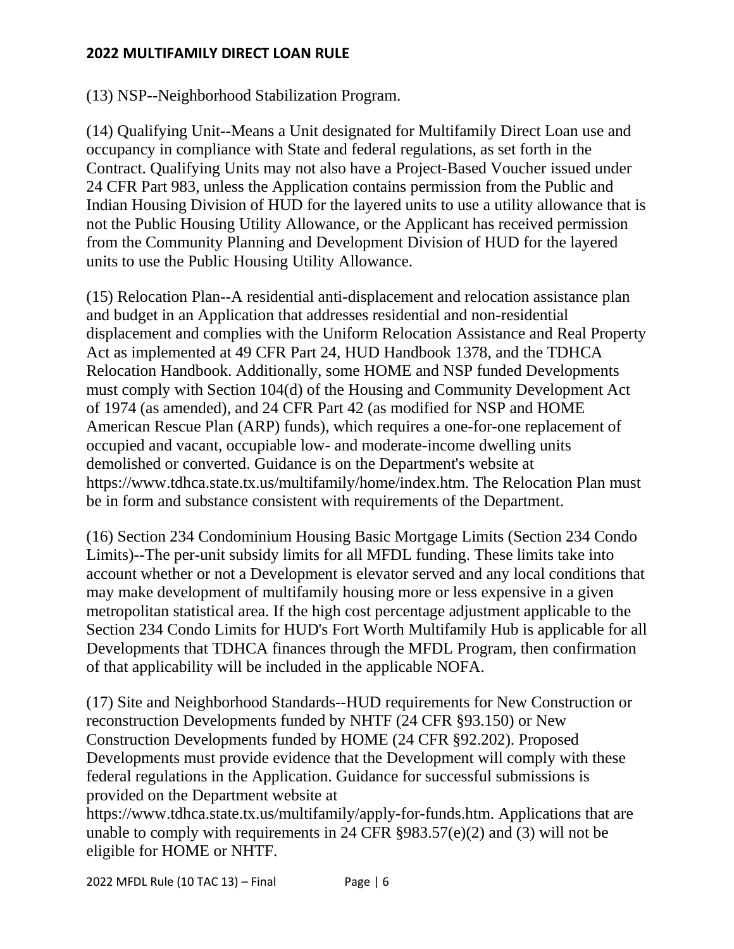(13) NSP--Neighborhood Stabilization Program.

(14) Qualifying Unit--Means a Unit designated for Multifamily Direct Loan use and occupancy in compliance with State and federal regulations, as set forth in the Contract. Qualifying Units may not also have a Project-Based Voucher issued under 24 CFR Part 983, unless the Application contains permission from the Public and Indian Housing Division of HUD for the layered units to use a utility allowance that is not the Public Housing Utility Allowance, or the Applicant has received permission from the Community Planning and Development Division of HUD for the layered units to use the Public Housing Utility Allowance.

(15) Relocation Plan--A residential anti-displacement and relocation assistance plan and budget in an Application that addresses residential and non-residential displacement and complies with the Uniform Relocation Assistance and Real Property Act as implemented at 49 CFR Part 24, HUD Handbook 1378, and the TDHCA Relocation Handbook. Additionally, some HOME and NSP funded Developments must comply with Section 104(d) of the Housing and Community Development Act of 1974 (as amended), and 24 CFR Part 42 (as modified for NSP and HOME American Rescue Plan (ARP) funds), which requires a one-for-one replacement of occupied and vacant, occupiable low- and moderate-income dwelling units demolished or converted. Guidance is on the Department's website at https://www.tdhca.state.tx.us/multifamily/home/index.htm. The Relocation Plan must be in form and substance consistent with requirements of the Department.

(16) Section 234 Condominium Housing Basic Mortgage Limits (Section 234 Condo Limits)--The per-unit subsidy limits for all MFDL funding. These limits take into account whether or not a Development is elevator served and any local conditions that may make development of multifamily housing more or less expensive in a given metropolitan statistical area. If the high cost percentage adjustment applicable to the Section 234 Condo Limits for HUD's Fort Worth Multifamily Hub is applicable for all Developments that TDHCA finances through the MFDL Program, then confirmation of that applicability will be included in the applicable NOFA.

(17) Site and Neighborhood Standards--HUD requirements for New Construction or reconstruction Developments funded by NHTF (24 CFR §93.150) or New Construction Developments funded by HOME (24 CFR §92.202). Proposed Developments must provide evidence that the Development will comply with these federal regulations in the Application. Guidance for successful submissions is provided on the Department website at

https://www.tdhca.state.tx.us/multifamily/apply-for-funds.htm. Applications that are unable to comply with requirements in 24 CFR §983.57(e)(2) and (3) will not be eligible for HOME or NHTF.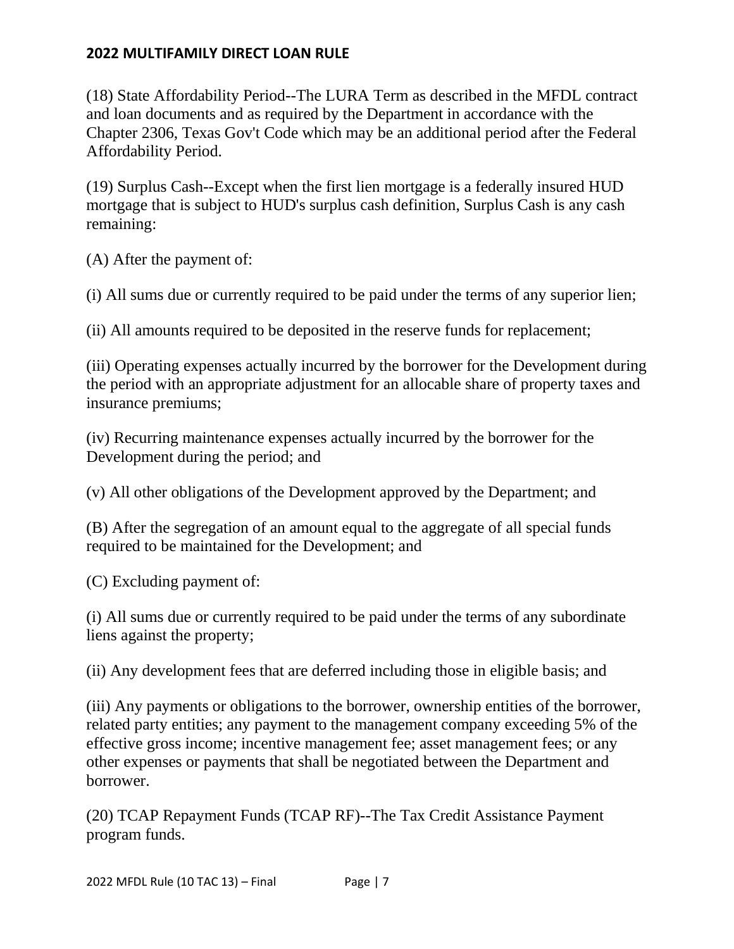(18) State Affordability Period--The LURA Term as described in the MFDL contract and loan documents and as required by the Department in accordance with the Chapter 2306, Texas Gov't Code which may be an additional period after the Federal Affordability Period.

(19) Surplus Cash--Except when the first lien mortgage is a federally insured HUD mortgage that is subject to HUD's surplus cash definition, Surplus Cash is any cash remaining:

(A) After the payment of:

(i) All sums due or currently required to be paid under the terms of any superior lien;

(ii) All amounts required to be deposited in the reserve funds for replacement;

(iii) Operating expenses actually incurred by the borrower for the Development during the period with an appropriate adjustment for an allocable share of property taxes and insurance premiums;

(iv) Recurring maintenance expenses actually incurred by the borrower for the Development during the period; and

(v) All other obligations of the Development approved by the Department; and

(B) After the segregation of an amount equal to the aggregate of all special funds required to be maintained for the Development; and

(C) Excluding payment of:

(i) All sums due or currently required to be paid under the terms of any subordinate liens against the property;

(ii) Any development fees that are deferred including those in eligible basis; and

(iii) Any payments or obligations to the borrower, ownership entities of the borrower, related party entities; any payment to the management company exceeding 5% of the effective gross income; incentive management fee; asset management fees; or any other expenses or payments that shall be negotiated between the Department and borrower.

(20) TCAP Repayment Funds (TCAP RF)--The Tax Credit Assistance Payment program funds.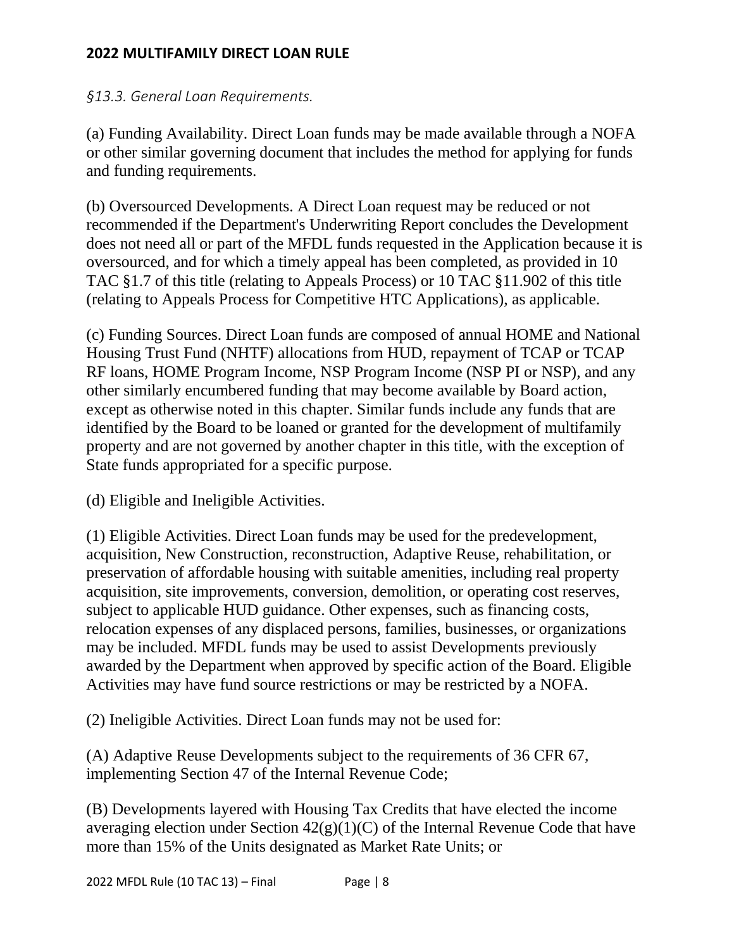# *§13.3. General Loan Requirements.*

(a) Funding Availability. Direct Loan funds may be made available through a NOFA or other similar governing document that includes the method for applying for funds and funding requirements.

(b) Oversourced Developments. A Direct Loan request may be reduced or not recommended if the Department's Underwriting Report concludes the Development does not need all or part of the MFDL funds requested in the Application because it is oversourced, and for which a timely appeal has been completed, as provided in 10 TAC §1.7 of this title (relating to Appeals Process) or 10 TAC §11.902 of this title (relating to Appeals Process for Competitive HTC Applications), as applicable.

(c) Funding Sources. Direct Loan funds are composed of annual HOME and National Housing Trust Fund (NHTF) allocations from HUD, repayment of TCAP or TCAP RF loans, HOME Program Income, NSP Program Income (NSP PI or NSP), and any other similarly encumbered funding that may become available by Board action, except as otherwise noted in this chapter. Similar funds include any funds that are identified by the Board to be loaned or granted for the development of multifamily property and are not governed by another chapter in this title, with the exception of State funds appropriated for a specific purpose.

(d) Eligible and Ineligible Activities.

(1) Eligible Activities. Direct Loan funds may be used for the predevelopment, acquisition, New Construction, reconstruction, Adaptive Reuse, rehabilitation, or preservation of affordable housing with suitable amenities, including real property acquisition, site improvements, conversion, demolition, or operating cost reserves, subject to applicable HUD guidance. Other expenses, such as financing costs, relocation expenses of any displaced persons, families, businesses, or organizations may be included. MFDL funds may be used to assist Developments previously awarded by the Department when approved by specific action of the Board. Eligible Activities may have fund source restrictions or may be restricted by a NOFA.

(2) Ineligible Activities. Direct Loan funds may not be used for:

(A) Adaptive Reuse Developments subject to the requirements of 36 CFR 67, implementing Section 47 of the Internal Revenue Code;

(B) Developments layered with Housing Tax Credits that have elected the income averaging election under Section  $42(g)(1)(C)$  of the Internal Revenue Code that have more than 15% of the Units designated as Market Rate Units; or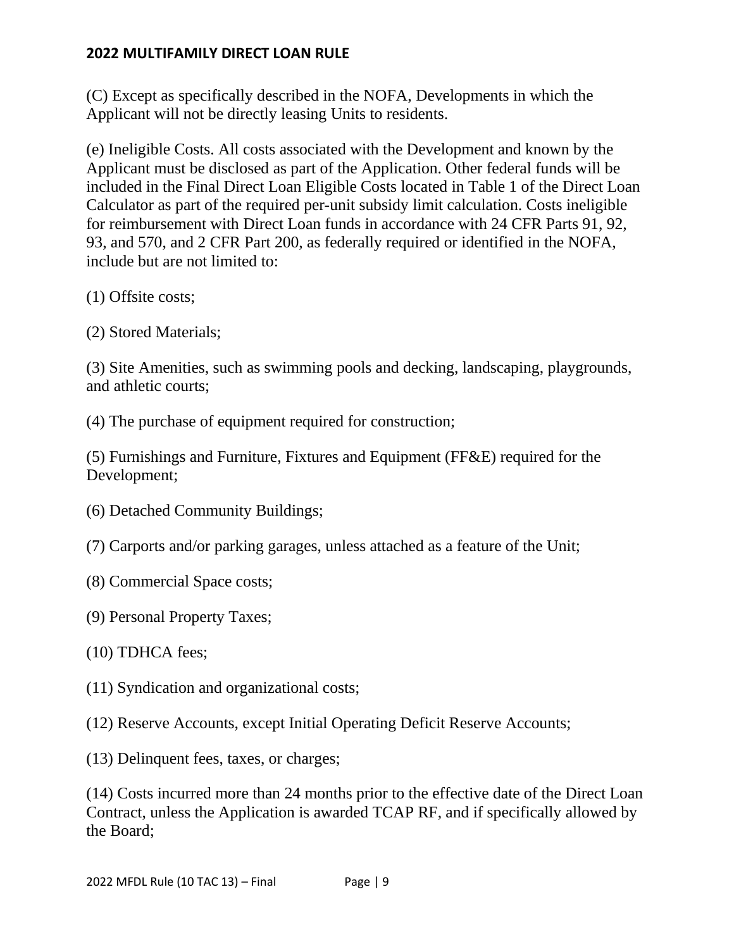(C) Except as specifically described in the NOFA, Developments in which the Applicant will not be directly leasing Units to residents.

(e) Ineligible Costs. All costs associated with the Development and known by the Applicant must be disclosed as part of the Application. Other federal funds will be included in the Final Direct Loan Eligible Costs located in Table 1 of the Direct Loan Calculator as part of the required per-unit subsidy limit calculation. Costs ineligible for reimbursement with Direct Loan funds in accordance with 24 CFR Parts 91, 92, 93, and 570, and 2 CFR Part 200, as federally required or identified in the NOFA, include but are not limited to:

- (1) Offsite costs;
- (2) Stored Materials;

(3) Site Amenities, such as swimming pools and decking, landscaping, playgrounds, and athletic courts;

(4) The purchase of equipment required for construction;

(5) Furnishings and Furniture, Fixtures and Equipment (FF&E) required for the Development;

- (6) Detached Community Buildings;
- (7) Carports and/or parking garages, unless attached as a feature of the Unit;
- (8) Commercial Space costs;
- (9) Personal Property Taxes;
- (10) TDHCA fees;
- (11) Syndication and organizational costs;
- (12) Reserve Accounts, except Initial Operating Deficit Reserve Accounts;
- (13) Delinquent fees, taxes, or charges;

(14) Costs incurred more than 24 months prior to the effective date of the Direct Loan Contract, unless the Application is awarded TCAP RF, and if specifically allowed by the Board;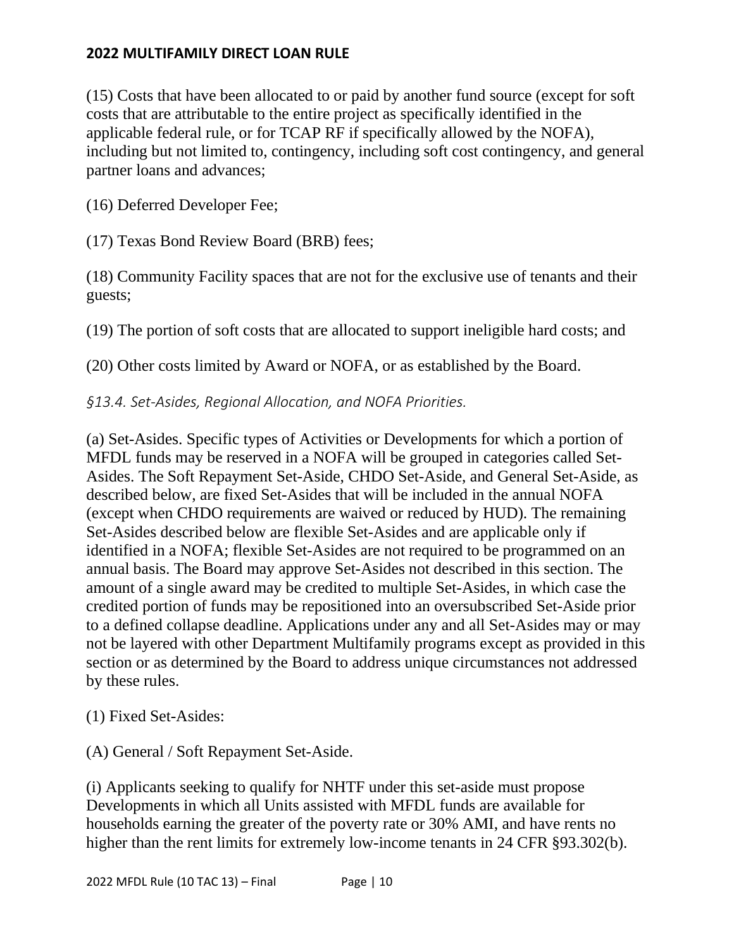(15) Costs that have been allocated to or paid by another fund source (except for soft costs that are attributable to the entire project as specifically identified in the applicable federal rule, or for TCAP RF if specifically allowed by the NOFA), including but not limited to, contingency, including soft cost contingency, and general partner loans and advances;

(16) Deferred Developer Fee;

(17) Texas Bond Review Board (BRB) fees;

(18) Community Facility spaces that are not for the exclusive use of tenants and their guests;

(19) The portion of soft costs that are allocated to support ineligible hard costs; and

(20) Other costs limited by Award or NOFA, or as established by the Board.

*§13.4. Set-Asides, Regional Allocation, and NOFA Priorities.*

(a) Set-Asides. Specific types of Activities or Developments for which a portion of MFDL funds may be reserved in a NOFA will be grouped in categories called Set-Asides. The Soft Repayment Set-Aside, CHDO Set-Aside, and General Set-Aside, as described below, are fixed Set-Asides that will be included in the annual NOFA (except when CHDO requirements are waived or reduced by HUD). The remaining Set-Asides described below are flexible Set-Asides and are applicable only if identified in a NOFA; flexible Set-Asides are not required to be programmed on an annual basis. The Board may approve Set-Asides not described in this section. The amount of a single award may be credited to multiple Set-Asides, in which case the credited portion of funds may be repositioned into an oversubscribed Set-Aside prior to a defined collapse deadline. Applications under any and all Set-Asides may or may not be layered with other Department Multifamily programs except as provided in this section or as determined by the Board to address unique circumstances not addressed by these rules.

(1) Fixed Set-Asides:

(A) General / Soft Repayment Set-Aside.

(i) Applicants seeking to qualify for NHTF under this set-aside must propose Developments in which all Units assisted with MFDL funds are available for households earning the greater of the poverty rate or 30% AMI, and have rents no higher than the rent limits for extremely low-income tenants in 24 CFR §93.302(b).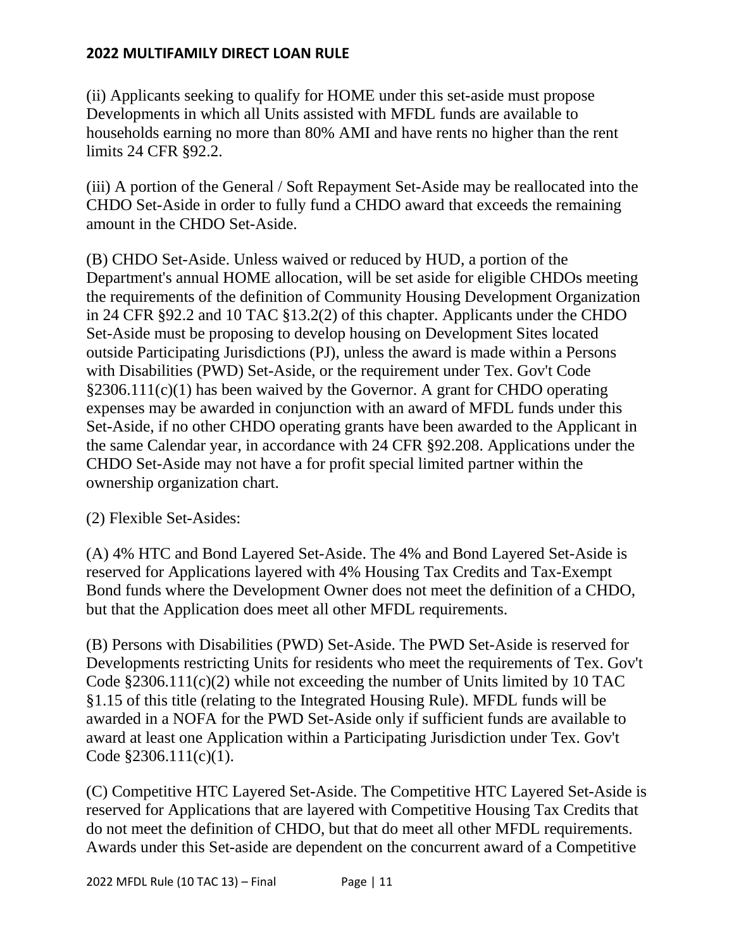(ii) Applicants seeking to qualify for HOME under this set-aside must propose Developments in which all Units assisted with MFDL funds are available to households earning no more than 80% AMI and have rents no higher than the rent limits 24 CFR §92.2.

(iii) A portion of the General / Soft Repayment Set-Aside may be reallocated into the CHDO Set-Aside in order to fully fund a CHDO award that exceeds the remaining amount in the CHDO Set-Aside.

(B) CHDO Set-Aside. Unless waived or reduced by HUD, a portion of the Department's annual HOME allocation, will be set aside for eligible CHDOs meeting the requirements of the definition of Community Housing Development Organization in 24 CFR §92.2 and 10 TAC §13.2(2) of this chapter. Applicants under the CHDO Set-Aside must be proposing to develop housing on Development Sites located outside Participating Jurisdictions (PJ), unless the award is made within a Persons with Disabilities (PWD) Set-Aside, or the requirement under Tex. Gov't Code §2306.111(c)(1) has been waived by the Governor. A grant for CHDO operating expenses may be awarded in conjunction with an award of MFDL funds under this Set-Aside, if no other CHDO operating grants have been awarded to the Applicant in the same Calendar year, in accordance with 24 CFR §92.208. Applications under the CHDO Set-Aside may not have a for profit special limited partner within the ownership organization chart.

(2) Flexible Set-Asides:

(A) 4% HTC and Bond Layered Set-Aside. The 4% and Bond Layered Set-Aside is reserved for Applications layered with 4% Housing Tax Credits and Tax-Exempt Bond funds where the Development Owner does not meet the definition of a CHDO, but that the Application does meet all other MFDL requirements.

(B) Persons with Disabilities (PWD) Set-Aside. The PWD Set-Aside is reserved for Developments restricting Units for residents who meet the requirements of Tex. Gov't Code  $\S 2306.111(c)(2)$  while not exceeding the number of Units limited by 10 TAC §1.15 of this title (relating to the Integrated Housing Rule). MFDL funds will be awarded in a NOFA for the PWD Set-Aside only if sufficient funds are available to award at least one Application within a Participating Jurisdiction under Tex. Gov't Code §2306.111(c)(1).

(C) Competitive HTC Layered Set-Aside. The Competitive HTC Layered Set-Aside is reserved for Applications that are layered with Competitive Housing Tax Credits that do not meet the definition of CHDO, but that do meet all other MFDL requirements. Awards under this Set-aside are dependent on the concurrent award of a Competitive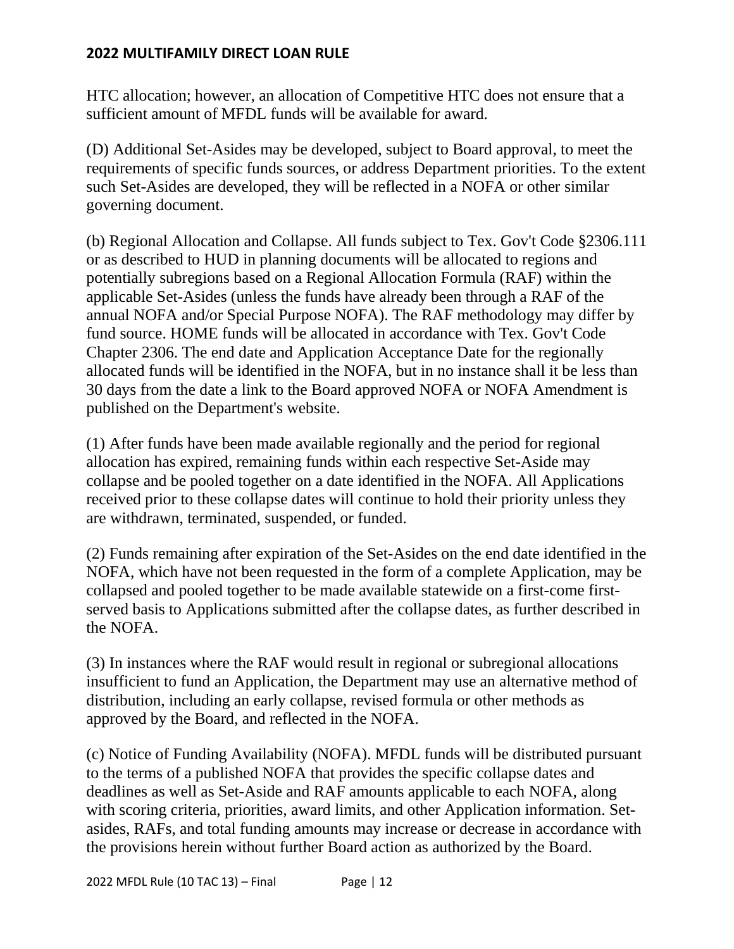HTC allocation; however, an allocation of Competitive HTC does not ensure that a sufficient amount of MFDL funds will be available for award.

(D) Additional Set-Asides may be developed, subject to Board approval, to meet the requirements of specific funds sources, or address Department priorities. To the extent such Set-Asides are developed, they will be reflected in a NOFA or other similar governing document.

(b) Regional Allocation and Collapse. All funds subject to Tex. Gov't Code §2306.111 or as described to HUD in planning documents will be allocated to regions and potentially subregions based on a Regional Allocation Formula (RAF) within the applicable Set-Asides (unless the funds have already been through a RAF of the annual NOFA and/or Special Purpose NOFA). The RAF methodology may differ by fund source. HOME funds will be allocated in accordance with Tex. Gov't Code Chapter 2306. The end date and Application Acceptance Date for the regionally allocated funds will be identified in the NOFA, but in no instance shall it be less than 30 days from the date a link to the Board approved NOFA or NOFA Amendment is published on the Department's website.

(1) After funds have been made available regionally and the period for regional allocation has expired, remaining funds within each respective Set-Aside may collapse and be pooled together on a date identified in the NOFA. All Applications received prior to these collapse dates will continue to hold their priority unless they are withdrawn, terminated, suspended, or funded.

(2) Funds remaining after expiration of the Set-Asides on the end date identified in the NOFA, which have not been requested in the form of a complete Application, may be collapsed and pooled together to be made available statewide on a first-come firstserved basis to Applications submitted after the collapse dates, as further described in the NOFA.

(3) In instances where the RAF would result in regional or subregional allocations insufficient to fund an Application, the Department may use an alternative method of distribution, including an early collapse, revised formula or other methods as approved by the Board, and reflected in the NOFA.

(c) Notice of Funding Availability (NOFA). MFDL funds will be distributed pursuant to the terms of a published NOFA that provides the specific collapse dates and deadlines as well as Set-Aside and RAF amounts applicable to each NOFA, along with scoring criteria, priorities, award limits, and other Application information. Setasides, RAFs, and total funding amounts may increase or decrease in accordance with the provisions herein without further Board action as authorized by the Board.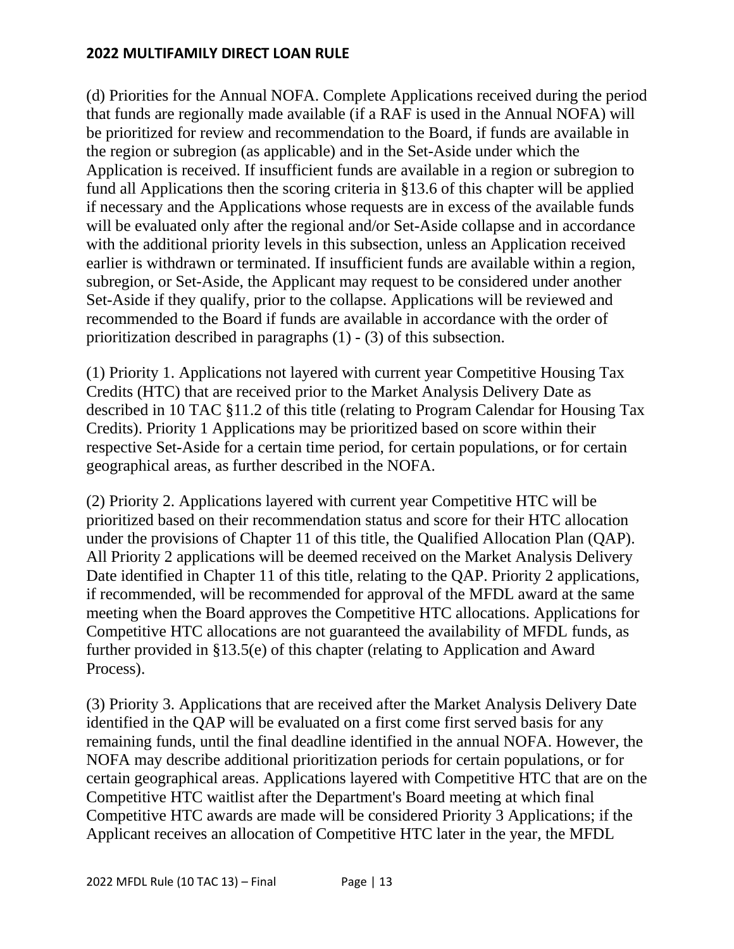(d) Priorities for the Annual NOFA. Complete Applications received during the period that funds are regionally made available (if a RAF is used in the Annual NOFA) will be prioritized for review and recommendation to the Board, if funds are available in the region or subregion (as applicable) and in the Set-Aside under which the Application is received. If insufficient funds are available in a region or subregion to fund all Applications then the scoring criteria in §13.6 of this chapter will be applied if necessary and the Applications whose requests are in excess of the available funds will be evaluated only after the regional and/or Set-Aside collapse and in accordance with the additional priority levels in this subsection, unless an Application received earlier is withdrawn or terminated. If insufficient funds are available within a region, subregion, or Set-Aside, the Applicant may request to be considered under another Set-Aside if they qualify, prior to the collapse. Applications will be reviewed and recommended to the Board if funds are available in accordance with the order of prioritization described in paragraphs (1) - (3) of this subsection.

(1) Priority 1. Applications not layered with current year Competitive Housing Tax Credits (HTC) that are received prior to the Market Analysis Delivery Date as described in 10 TAC §11.2 of this title (relating to Program Calendar for Housing Tax Credits). Priority 1 Applications may be prioritized based on score within their respective Set-Aside for a certain time period, for certain populations, or for certain geographical areas, as further described in the NOFA.

(2) Priority 2. Applications layered with current year Competitive HTC will be prioritized based on their recommendation status and score for their HTC allocation under the provisions of Chapter 11 of this title, the Qualified Allocation Plan (QAP). All Priority 2 applications will be deemed received on the Market Analysis Delivery Date identified in Chapter 11 of this title, relating to the QAP. Priority 2 applications, if recommended, will be recommended for approval of the MFDL award at the same meeting when the Board approves the Competitive HTC allocations. Applications for Competitive HTC allocations are not guaranteed the availability of MFDL funds, as further provided in §13.5(e) of this chapter (relating to Application and Award Process).

(3) Priority 3. Applications that are received after the Market Analysis Delivery Date identified in the QAP will be evaluated on a first come first served basis for any remaining funds, until the final deadline identified in the annual NOFA. However, the NOFA may describe additional prioritization periods for certain populations, or for certain geographical areas. Applications layered with Competitive HTC that are on the Competitive HTC waitlist after the Department's Board meeting at which final Competitive HTC awards are made will be considered Priority 3 Applications; if the Applicant receives an allocation of Competitive HTC later in the year, the MFDL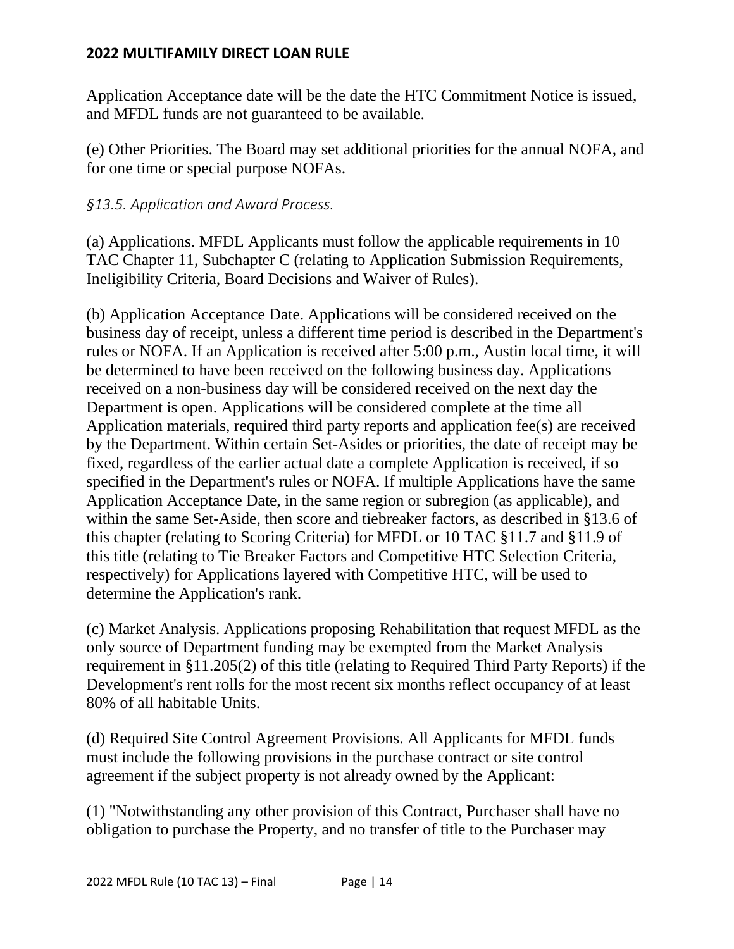Application Acceptance date will be the date the HTC Commitment Notice is issued, and MFDL funds are not guaranteed to be available.

(e) Other Priorities. The Board may set additional priorities for the annual NOFA, and for one time or special purpose NOFAs.

# *§13.5. Application and Award Process.*

(a) Applications. MFDL Applicants must follow the applicable requirements in 10 TAC Chapter 11, Subchapter C (relating to Application Submission Requirements, Ineligibility Criteria, Board Decisions and Waiver of Rules).

(b) Application Acceptance Date. Applications will be considered received on the business day of receipt, unless a different time period is described in the Department's rules or NOFA. If an Application is received after 5:00 p.m., Austin local time, it will be determined to have been received on the following business day. Applications received on a non-business day will be considered received on the next day the Department is open. Applications will be considered complete at the time all Application materials, required third party reports and application fee(s) are received by the Department. Within certain Set-Asides or priorities, the date of receipt may be fixed, regardless of the earlier actual date a complete Application is received, if so specified in the Department's rules or NOFA. If multiple Applications have the same Application Acceptance Date, in the same region or subregion (as applicable), and within the same Set-Aside, then score and tiebreaker factors, as described in §13.6 of this chapter (relating to Scoring Criteria) for MFDL or 10 TAC §11.7 and §11.9 of this title (relating to Tie Breaker Factors and Competitive HTC Selection Criteria, respectively) for Applications layered with Competitive HTC, will be used to determine the Application's rank.

(c) Market Analysis. Applications proposing Rehabilitation that request MFDL as the only source of Department funding may be exempted from the Market Analysis requirement in §11.205(2) of this title (relating to Required Third Party Reports) if the Development's rent rolls for the most recent six months reflect occupancy of at least 80% of all habitable Units.

(d) Required Site Control Agreement Provisions. All Applicants for MFDL funds must include the following provisions in the purchase contract or site control agreement if the subject property is not already owned by the Applicant:

(1) "Notwithstanding any other provision of this Contract, Purchaser shall have no obligation to purchase the Property, and no transfer of title to the Purchaser may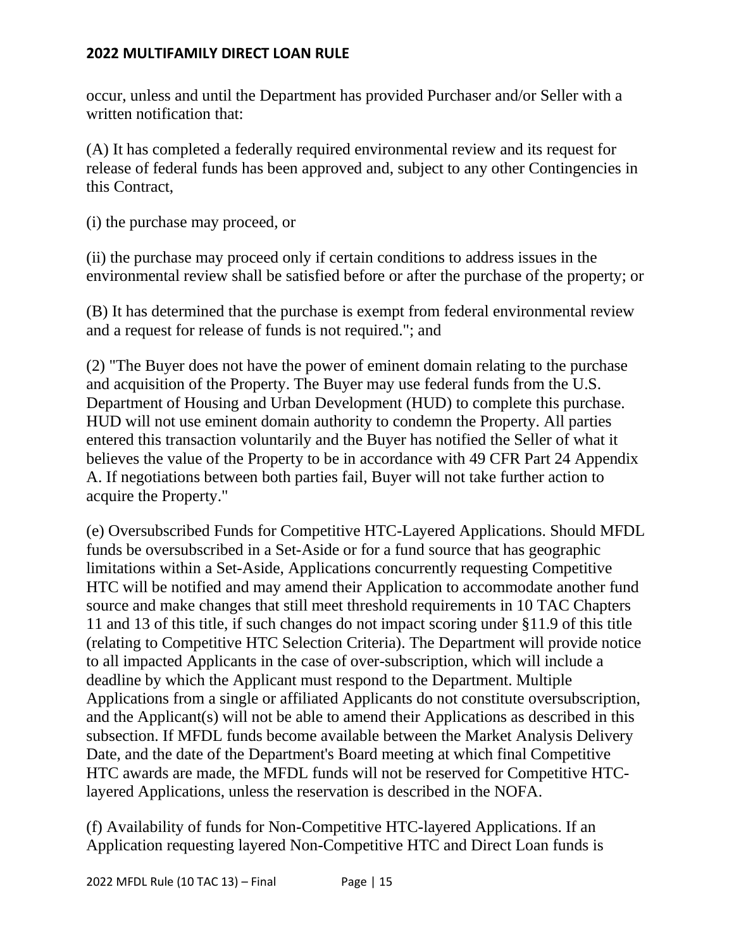occur, unless and until the Department has provided Purchaser and/or Seller with a written notification that:

(A) It has completed a federally required environmental review and its request for release of federal funds has been approved and, subject to any other Contingencies in this Contract,

(i) the purchase may proceed, or

(ii) the purchase may proceed only if certain conditions to address issues in the environmental review shall be satisfied before or after the purchase of the property; or

(B) It has determined that the purchase is exempt from federal environmental review and a request for release of funds is not required."; and

(2) "The Buyer does not have the power of eminent domain relating to the purchase and acquisition of the Property. The Buyer may use federal funds from the U.S. Department of Housing and Urban Development (HUD) to complete this purchase. HUD will not use eminent domain authority to condemn the Property. All parties entered this transaction voluntarily and the Buyer has notified the Seller of what it believes the value of the Property to be in accordance with 49 CFR Part 24 Appendix A. If negotiations between both parties fail, Buyer will not take further action to acquire the Property."

(e) Oversubscribed Funds for Competitive HTC-Layered Applications. Should MFDL funds be oversubscribed in a Set-Aside or for a fund source that has geographic limitations within a Set-Aside, Applications concurrently requesting Competitive HTC will be notified and may amend their Application to accommodate another fund source and make changes that still meet threshold requirements in 10 TAC Chapters 11 and 13 of this title, if such changes do not impact scoring under §11.9 of this title (relating to Competitive HTC Selection Criteria). The Department will provide notice to all impacted Applicants in the case of over-subscription, which will include a deadline by which the Applicant must respond to the Department. Multiple Applications from a single or affiliated Applicants do not constitute oversubscription, and the Applicant(s) will not be able to amend their Applications as described in this subsection. If MFDL funds become available between the Market Analysis Delivery Date, and the date of the Department's Board meeting at which final Competitive HTC awards are made, the MFDL funds will not be reserved for Competitive HTClayered Applications, unless the reservation is described in the NOFA.

(f) Availability of funds for Non-Competitive HTC-layered Applications. If an Application requesting layered Non-Competitive HTC and Direct Loan funds is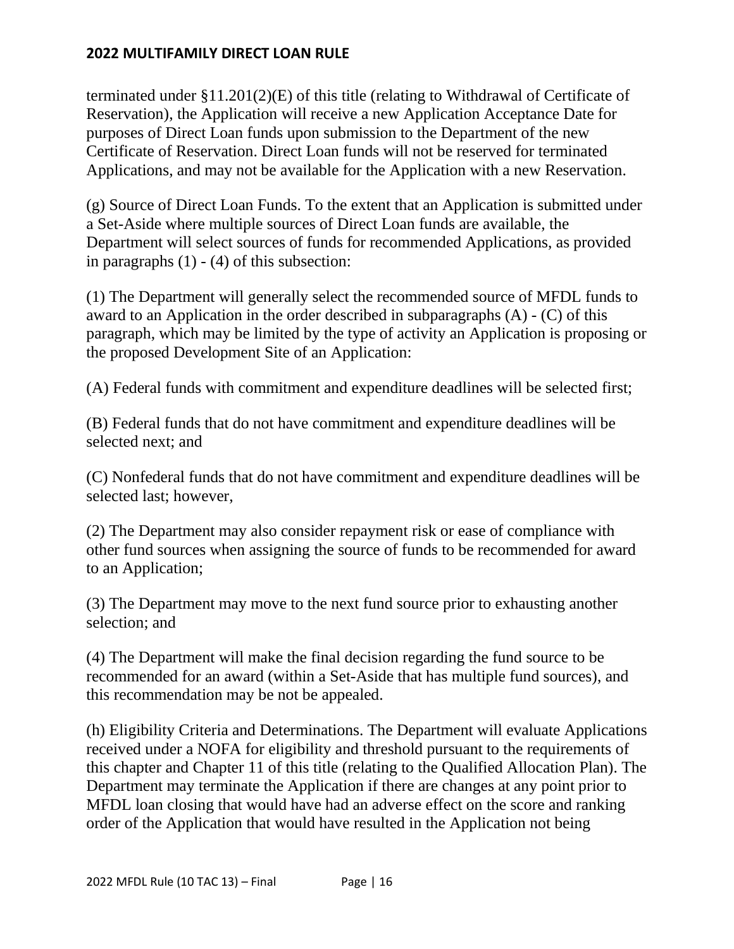terminated under §11.201(2)(E) of this title (relating to Withdrawal of Certificate of Reservation), the Application will receive a new Application Acceptance Date for purposes of Direct Loan funds upon submission to the Department of the new Certificate of Reservation. Direct Loan funds will not be reserved for terminated Applications, and may not be available for the Application with a new Reservation.

(g) Source of Direct Loan Funds. To the extent that an Application is submitted under a Set-Aside where multiple sources of Direct Loan funds are available, the Department will select sources of funds for recommended Applications, as provided in paragraphs (1) - (4) of this subsection:

(1) The Department will generally select the recommended source of MFDL funds to award to an Application in the order described in subparagraphs (A) - (C) of this paragraph, which may be limited by the type of activity an Application is proposing or the proposed Development Site of an Application:

(A) Federal funds with commitment and expenditure deadlines will be selected first;

(B) Federal funds that do not have commitment and expenditure deadlines will be selected next; and

(C) Nonfederal funds that do not have commitment and expenditure deadlines will be selected last; however,

(2) The Department may also consider repayment risk or ease of compliance with other fund sources when assigning the source of funds to be recommended for award to an Application;

(3) The Department may move to the next fund source prior to exhausting another selection; and

(4) The Department will make the final decision regarding the fund source to be recommended for an award (within a Set-Aside that has multiple fund sources), and this recommendation may be not be appealed.

(h) Eligibility Criteria and Determinations. The Department will evaluate Applications received under a NOFA for eligibility and threshold pursuant to the requirements of this chapter and Chapter 11 of this title (relating to the Qualified Allocation Plan). The Department may terminate the Application if there are changes at any point prior to MFDL loan closing that would have had an adverse effect on the score and ranking order of the Application that would have resulted in the Application not being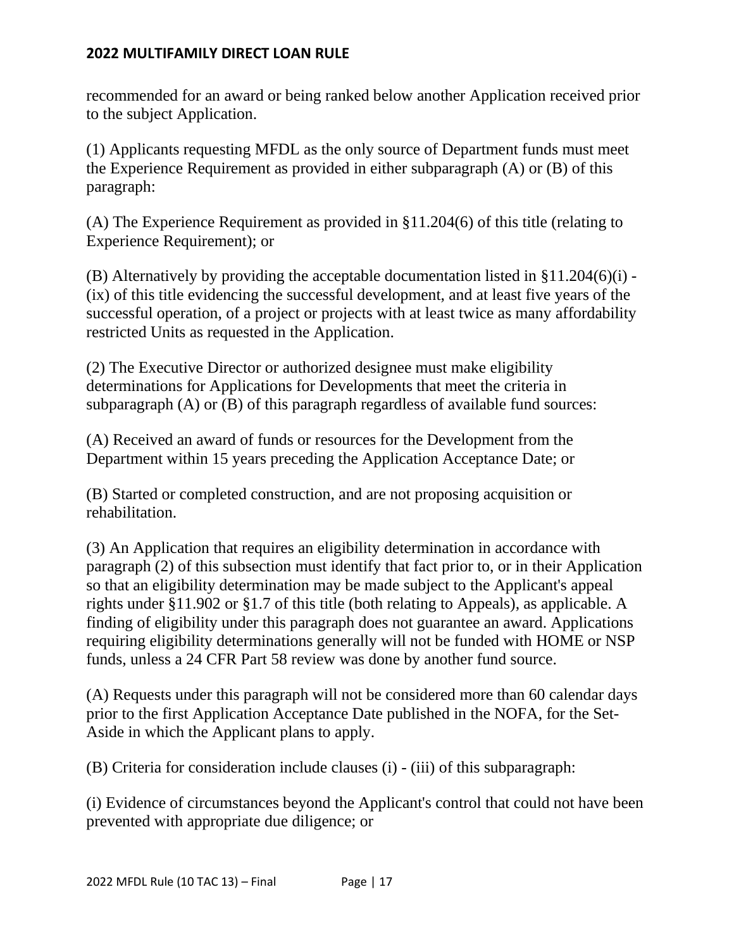recommended for an award or being ranked below another Application received prior to the subject Application.

(1) Applicants requesting MFDL as the only source of Department funds must meet the Experience Requirement as provided in either subparagraph (A) or (B) of this paragraph:

(A) The Experience Requirement as provided in §11.204(6) of this title (relating to Experience Requirement); or

(B) Alternatively by providing the acceptable documentation listed in §11.204(6)(i) - (ix) of this title evidencing the successful development, and at least five years of the successful operation, of a project or projects with at least twice as many affordability restricted Units as requested in the Application.

(2) The Executive Director or authorized designee must make eligibility determinations for Applications for Developments that meet the criteria in subparagraph (A) or (B) of this paragraph regardless of available fund sources:

(A) Received an award of funds or resources for the Development from the Department within 15 years preceding the Application Acceptance Date; or

(B) Started or completed construction, and are not proposing acquisition or rehabilitation.

(3) An Application that requires an eligibility determination in accordance with paragraph (2) of this subsection must identify that fact prior to, or in their Application so that an eligibility determination may be made subject to the Applicant's appeal rights under §11.902 or §1.7 of this title (both relating to Appeals), as applicable. A finding of eligibility under this paragraph does not guarantee an award. Applications requiring eligibility determinations generally will not be funded with HOME or NSP funds, unless a 24 CFR Part 58 review was done by another fund source.

(A) Requests under this paragraph will not be considered more than 60 calendar days prior to the first Application Acceptance Date published in the NOFA, for the Set-Aside in which the Applicant plans to apply.

(B) Criteria for consideration include clauses (i) - (iii) of this subparagraph:

(i) Evidence of circumstances beyond the Applicant's control that could not have been prevented with appropriate due diligence; or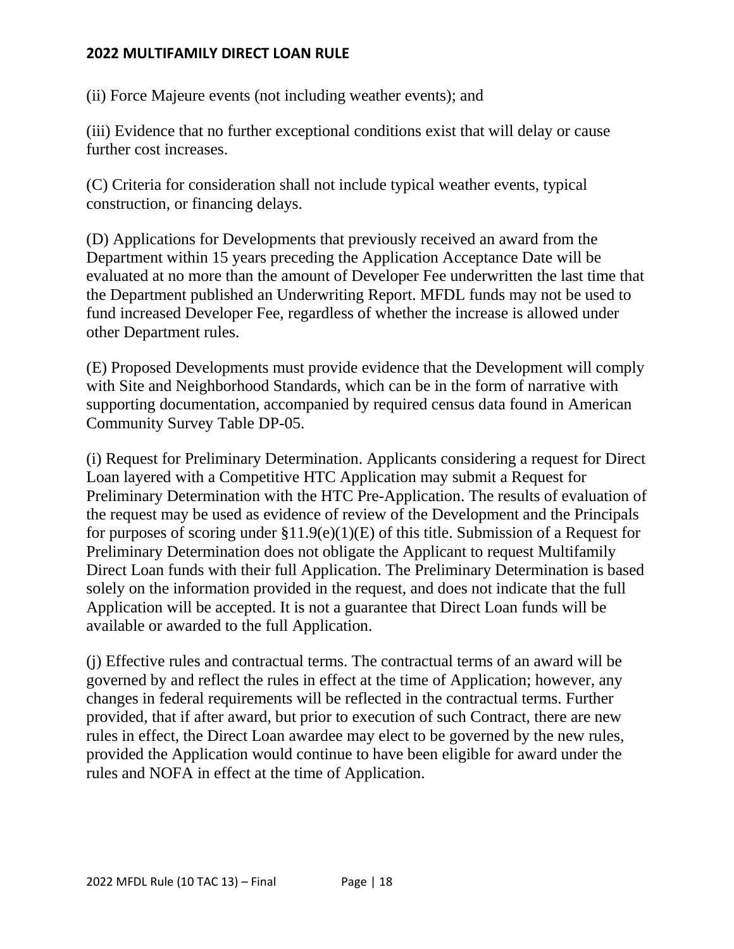(ii) Force Majeure events (not including weather events); and

(iii) Evidence that no further exceptional conditions exist that will delay or cause further cost increases.

(C) Criteria for consideration shall not include typical weather events, typical construction, or financing delays.

(D) Applications for Developments that previously received an award from the Department within 15 years preceding the Application Acceptance Date will be evaluated at no more than the amount of Developer Fee underwritten the last time that the Department published an Underwriting Report. MFDL funds may not be used to fund increased Developer Fee, regardless of whether the increase is allowed under other Department rules.

(E) Proposed Developments must provide evidence that the Development will comply with Site and Neighborhood Standards, which can be in the form of narrative with supporting documentation, accompanied by required census data found in American Community Survey Table DP-05.

(i) Request for Preliminary Determination. Applicants considering a request for Direct Loan layered with a Competitive HTC Application may submit a Request for Preliminary Determination with the HTC Pre-Application. The results of evaluation of the request may be used as evidence of review of the Development and the Principals for purposes of scoring under  $\S11.9(e)(1)(E)$  of this title. Submission of a Request for Preliminary Determination does not obligate the Applicant to request Multifamily Direct Loan funds with their full Application. The Preliminary Determination is based solely on the information provided in the request, and does not indicate that the full Application will be accepted. It is not a guarantee that Direct Loan funds will be available or awarded to the full Application.

(j) Effective rules and contractual terms. The contractual terms of an award will be governed by and reflect the rules in effect at the time of Application; however, any changes in federal requirements will be reflected in the contractual terms. Further provided, that if after award, but prior to execution of such Contract, there are new rules in effect, the Direct Loan awardee may elect to be governed by the new rules, provided the Application would continue to have been eligible for award under the rules and NOFA in effect at the time of Application.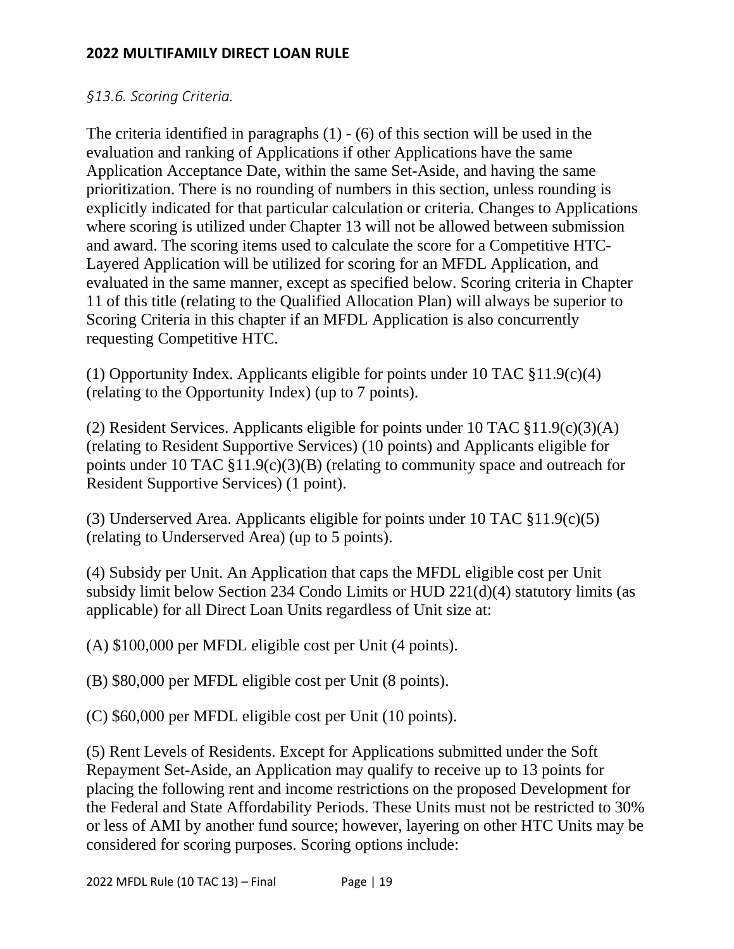#### *§13.6. Scoring Criteria.*

The criteria identified in paragraphs (1) - (6) of this section will be used in the evaluation and ranking of Applications if other Applications have the same Application Acceptance Date, within the same Set-Aside, and having the same prioritization. There is no rounding of numbers in this section, unless rounding is explicitly indicated for that particular calculation or criteria. Changes to Applications where scoring is utilized under Chapter 13 will not be allowed between submission and award. The scoring items used to calculate the score for a Competitive HTC-Layered Application will be utilized for scoring for an MFDL Application, and evaluated in the same manner, except as specified below. Scoring criteria in Chapter 11 of this title (relating to the Qualified Allocation Plan) will always be superior to Scoring Criteria in this chapter if an MFDL Application is also concurrently requesting Competitive HTC.

(1) Opportunity Index. Applicants eligible for points under 10 TAC §11.9(c)(4) (relating to the Opportunity Index) (up to 7 points).

(2) Resident Services. Applicants eligible for points under 10 TAC §11.9(c)(3)(A) (relating to Resident Supportive Services) (10 points) and Applicants eligible for points under 10 TAC §11.9(c)(3)(B) (relating to community space and outreach for Resident Supportive Services) (1 point).

(3) Underserved Area. Applicants eligible for points under 10 TAC §11.9(c)(5) (relating to Underserved Area) (up to 5 points).

(4) Subsidy per Unit. An Application that caps the MFDL eligible cost per Unit subsidy limit below Section 234 Condo Limits or HUD 221(d)(4) statutory limits (as applicable) for all Direct Loan Units regardless of Unit size at:

(A) \$100,000 per MFDL eligible cost per Unit (4 points).

(B) \$80,000 per MFDL eligible cost per Unit (8 points).

(C) \$60,000 per MFDL eligible cost per Unit (10 points).

(5) Rent Levels of Residents. Except for Applications submitted under the Soft Repayment Set-Aside, an Application may qualify to receive up to 13 points for placing the following rent and income restrictions on the proposed Development for the Federal and State Affordability Periods. These Units must not be restricted to 30% or less of AMI by another fund source; however, layering on other HTC Units may be considered for scoring purposes. Scoring options include: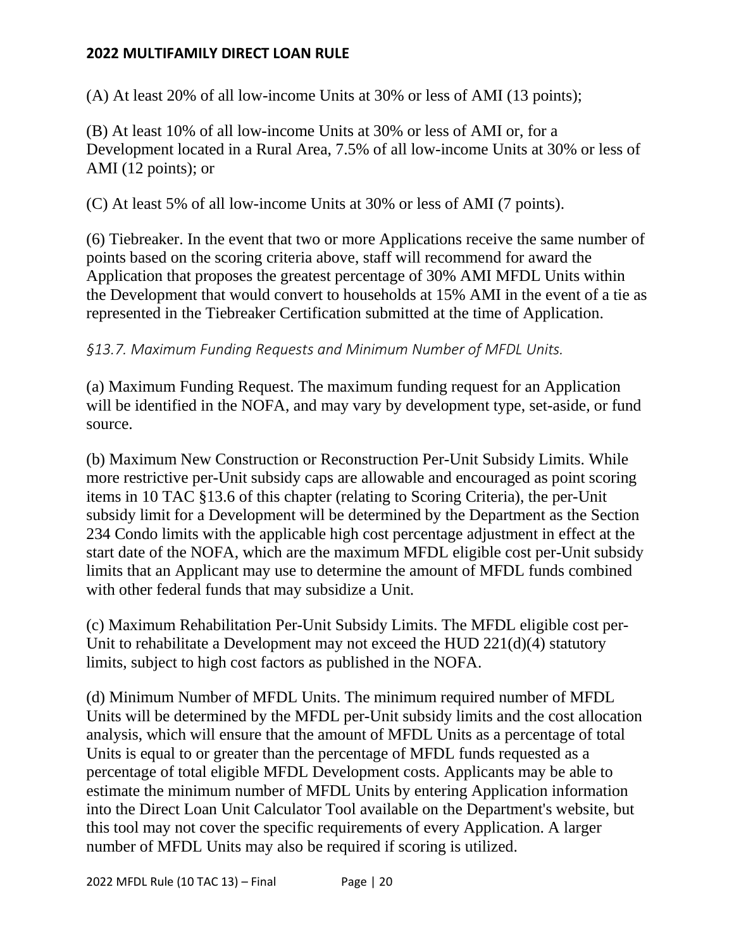(A) At least 20% of all low-income Units at 30% or less of AMI (13 points);

(B) At least 10% of all low-income Units at 30% or less of AMI or, for a Development located in a Rural Area, 7.5% of all low-income Units at 30% or less of AMI (12 points); or

(C) At least 5% of all low-income Units at 30% or less of AMI (7 points).

(6) Tiebreaker. In the event that two or more Applications receive the same number of points based on the scoring criteria above, staff will recommend for award the Application that proposes the greatest percentage of 30% AMI MFDL Units within the Development that would convert to households at 15% AMI in the event of a tie as represented in the Tiebreaker Certification submitted at the time of Application.

# *§13.7. Maximum Funding Requests and Minimum Number of MFDL Units.*

(a) Maximum Funding Request. The maximum funding request for an Application will be identified in the NOFA, and may vary by development type, set-aside, or fund source.

(b) Maximum New Construction or Reconstruction Per-Unit Subsidy Limits. While more restrictive per-Unit subsidy caps are allowable and encouraged as point scoring items in 10 TAC §13.6 of this chapter (relating to Scoring Criteria), the per-Unit subsidy limit for a Development will be determined by the Department as the Section 234 Condo limits with the applicable high cost percentage adjustment in effect at the start date of the NOFA, which are the maximum MFDL eligible cost per-Unit subsidy limits that an Applicant may use to determine the amount of MFDL funds combined with other federal funds that may subsidize a Unit.

(c) Maximum Rehabilitation Per-Unit Subsidy Limits. The MFDL eligible cost per-Unit to rehabilitate a Development may not exceed the HUD 221(d)(4) statutory limits, subject to high cost factors as published in the NOFA.

(d) Minimum Number of MFDL Units. The minimum required number of MFDL Units will be determined by the MFDL per-Unit subsidy limits and the cost allocation analysis, which will ensure that the amount of MFDL Units as a percentage of total Units is equal to or greater than the percentage of MFDL funds requested as a percentage of total eligible MFDL Development costs. Applicants may be able to estimate the minimum number of MFDL Units by entering Application information into the Direct Loan Unit Calculator Tool available on the Department's website, but this tool may not cover the specific requirements of every Application. A larger number of MFDL Units may also be required if scoring is utilized.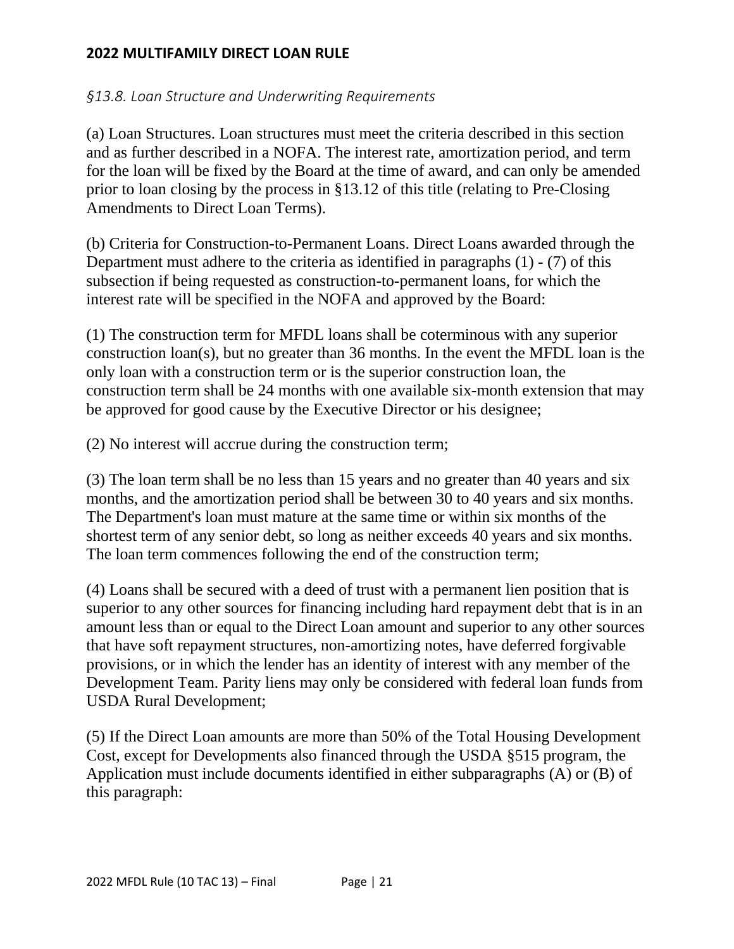# *§13.8. Loan Structure and Underwriting Requirements*

(a) Loan Structures. Loan structures must meet the criteria described in this section and as further described in a NOFA. The interest rate, amortization period, and term for the loan will be fixed by the Board at the time of award, and can only be amended prior to loan closing by the process in §13.12 of this title (relating to Pre-Closing Amendments to Direct Loan Terms).

(b) Criteria for Construction-to-Permanent Loans. Direct Loans awarded through the Department must adhere to the criteria as identified in paragraphs (1) - (7) of this subsection if being requested as construction-to-permanent loans, for which the interest rate will be specified in the NOFA and approved by the Board:

(1) The construction term for MFDL loans shall be coterminous with any superior construction loan(s), but no greater than 36 months. In the event the MFDL loan is the only loan with a construction term or is the superior construction loan, the construction term shall be 24 months with one available six-month extension that may be approved for good cause by the Executive Director or his designee;

(2) No interest will accrue during the construction term;

(3) The loan term shall be no less than 15 years and no greater than 40 years and six months, and the amortization period shall be between 30 to 40 years and six months. The Department's loan must mature at the same time or within six months of the shortest term of any senior debt, so long as neither exceeds 40 years and six months. The loan term commences following the end of the construction term;

(4) Loans shall be secured with a deed of trust with a permanent lien position that is superior to any other sources for financing including hard repayment debt that is in an amount less than or equal to the Direct Loan amount and superior to any other sources that have soft repayment structures, non-amortizing notes, have deferred forgivable provisions, or in which the lender has an identity of interest with any member of the Development Team. Parity liens may only be considered with federal loan funds from USDA Rural Development;

(5) If the Direct Loan amounts are more than 50% of the Total Housing Development Cost, except for Developments also financed through the USDA §515 program, the Application must include documents identified in either subparagraphs (A) or (B) of this paragraph: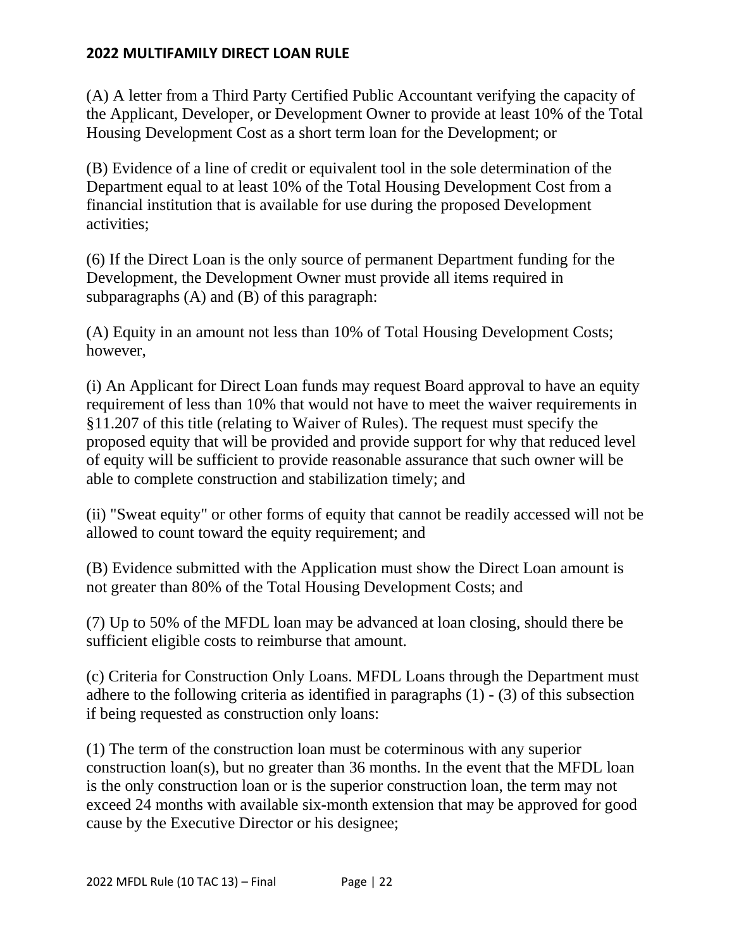(A) A letter from a Third Party Certified Public Accountant verifying the capacity of the Applicant, Developer, or Development Owner to provide at least 10% of the Total Housing Development Cost as a short term loan for the Development; or

(B) Evidence of a line of credit or equivalent tool in the sole determination of the Department equal to at least 10% of the Total Housing Development Cost from a financial institution that is available for use during the proposed Development activities;

(6) If the Direct Loan is the only source of permanent Department funding for the Development, the Development Owner must provide all items required in subparagraphs (A) and (B) of this paragraph:

(A) Equity in an amount not less than 10% of Total Housing Development Costs; however,

(i) An Applicant for Direct Loan funds may request Board approval to have an equity requirement of less than 10% that would not have to meet the waiver requirements in §11.207 of this title (relating to Waiver of Rules). The request must specify the proposed equity that will be provided and provide support for why that reduced level of equity will be sufficient to provide reasonable assurance that such owner will be able to complete construction and stabilization timely; and

(ii) "Sweat equity" or other forms of equity that cannot be readily accessed will not be allowed to count toward the equity requirement; and

(B) Evidence submitted with the Application must show the Direct Loan amount is not greater than 80% of the Total Housing Development Costs; and

(7) Up to 50% of the MFDL loan may be advanced at loan closing, should there be sufficient eligible costs to reimburse that amount.

(c) Criteria for Construction Only Loans. MFDL Loans through the Department must adhere to the following criteria as identified in paragraphs (1) - (3) of this subsection if being requested as construction only loans:

(1) The term of the construction loan must be coterminous with any superior construction loan(s), but no greater than 36 months. In the event that the MFDL loan is the only construction loan or is the superior construction loan, the term may not exceed 24 months with available six-month extension that may be approved for good cause by the Executive Director or his designee;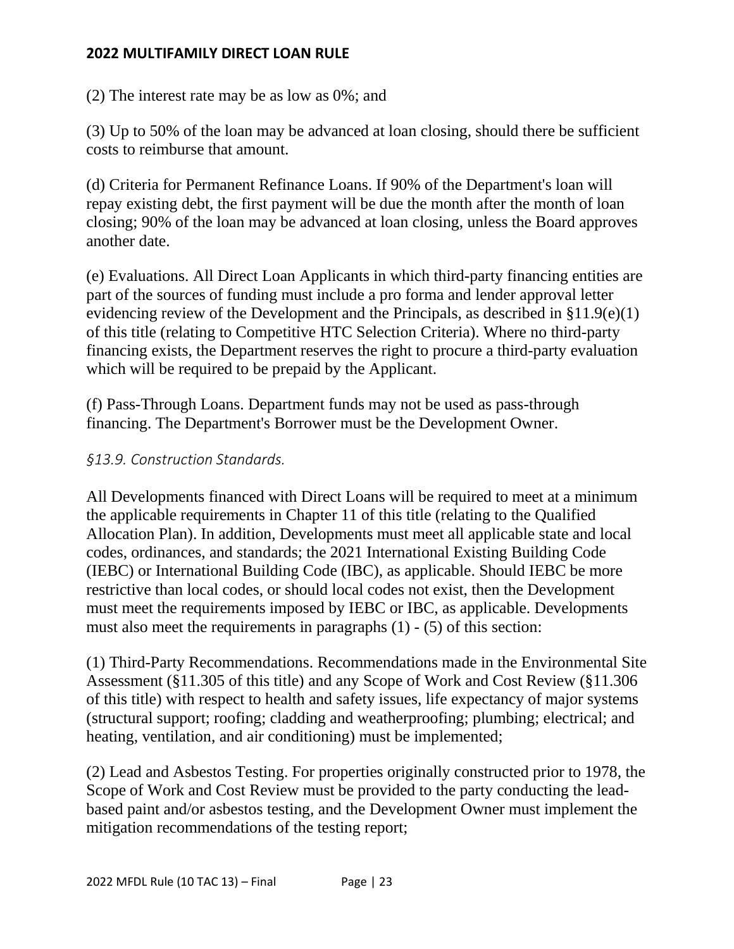(2) The interest rate may be as low as 0%; and

(3) Up to 50% of the loan may be advanced at loan closing, should there be sufficient costs to reimburse that amount.

(d) Criteria for Permanent Refinance Loans. If 90% of the Department's loan will repay existing debt, the first payment will be due the month after the month of loan closing; 90% of the loan may be advanced at loan closing, unless the Board approves another date.

(e) Evaluations. All Direct Loan Applicants in which third-party financing entities are part of the sources of funding must include a pro forma and lender approval letter evidencing review of the Development and the Principals, as described in §11.9(e)(1) of this title (relating to Competitive HTC Selection Criteria). Where no third-party financing exists, the Department reserves the right to procure a third-party evaluation which will be required to be prepaid by the Applicant.

(f) Pass-Through Loans. Department funds may not be used as pass-through financing. The Department's Borrower must be the Development Owner.

#### *§13.9. Construction Standards.*

All Developments financed with Direct Loans will be required to meet at a minimum the applicable requirements in Chapter 11 of this title (relating to the Qualified Allocation Plan). In addition, Developments must meet all applicable state and local codes, ordinances, and standards; the 2021 International Existing Building Code (IEBC) or International Building Code (IBC), as applicable. Should IEBC be more restrictive than local codes, or should local codes not exist, then the Development must meet the requirements imposed by IEBC or IBC, as applicable. Developments must also meet the requirements in paragraphs (1) - (5) of this section:

(1) Third-Party Recommendations. Recommendations made in the Environmental Site Assessment (§11.305 of this title) and any Scope of Work and Cost Review (§11.306 of this title) with respect to health and safety issues, life expectancy of major systems (structural support; roofing; cladding and weatherproofing; plumbing; electrical; and heating, ventilation, and air conditioning) must be implemented;

(2) Lead and Asbestos Testing. For properties originally constructed prior to 1978, the Scope of Work and Cost Review must be provided to the party conducting the leadbased paint and/or asbestos testing, and the Development Owner must implement the mitigation recommendations of the testing report;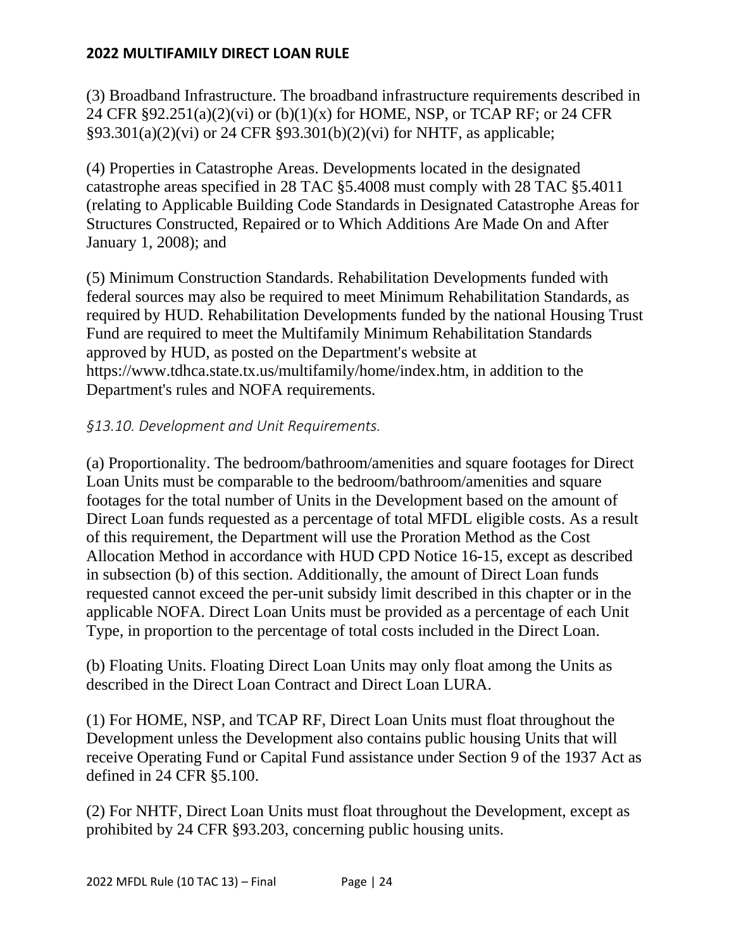(3) Broadband Infrastructure. The broadband infrastructure requirements described in 24 CFR  $\S 92.251(a)(2)(vi)$  or  $(b)(1)(x)$  for HOME, NSP, or TCAP RF; or 24 CFR §93.301(a)(2)(vi) or 24 CFR §93.301(b)(2)(vi) for NHTF, as applicable;

(4) Properties in Catastrophe Areas. Developments located in the designated catastrophe areas specified in 28 TAC §5.4008 must comply with 28 TAC §5.4011 (relating to Applicable Building Code Standards in Designated Catastrophe Areas for Structures Constructed, Repaired or to Which Additions Are Made On and After January 1, 2008); and

(5) Minimum Construction Standards. Rehabilitation Developments funded with federal sources may also be required to meet Minimum Rehabilitation Standards, as required by HUD. Rehabilitation Developments funded by the national Housing Trust Fund are required to meet the Multifamily Minimum Rehabilitation Standards approved by HUD, as posted on the Department's website at https://www.tdhca.state.tx.us/multifamily/home/index.htm, in addition to the Department's rules and NOFA requirements.

# *§13.10. Development and Unit Requirements.*

(a) Proportionality. The bedroom/bathroom/amenities and square footages for Direct Loan Units must be comparable to the bedroom/bathroom/amenities and square footages for the total number of Units in the Development based on the amount of Direct Loan funds requested as a percentage of total MFDL eligible costs. As a result of this requirement, the Department will use the Proration Method as the Cost Allocation Method in accordance with HUD CPD Notice 16-15, except as described in subsection (b) of this section. Additionally, the amount of Direct Loan funds requested cannot exceed the per-unit subsidy limit described in this chapter or in the applicable NOFA. Direct Loan Units must be provided as a percentage of each Unit Type, in proportion to the percentage of total costs included in the Direct Loan.

(b) Floating Units. Floating Direct Loan Units may only float among the Units as described in the Direct Loan Contract and Direct Loan LURA.

(1) For HOME, NSP, and TCAP RF, Direct Loan Units must float throughout the Development unless the Development also contains public housing Units that will receive Operating Fund or Capital Fund assistance under Section 9 of the 1937 Act as defined in 24 CFR §5.100.

(2) For NHTF, Direct Loan Units must float throughout the Development, except as prohibited by 24 CFR §93.203, concerning public housing units.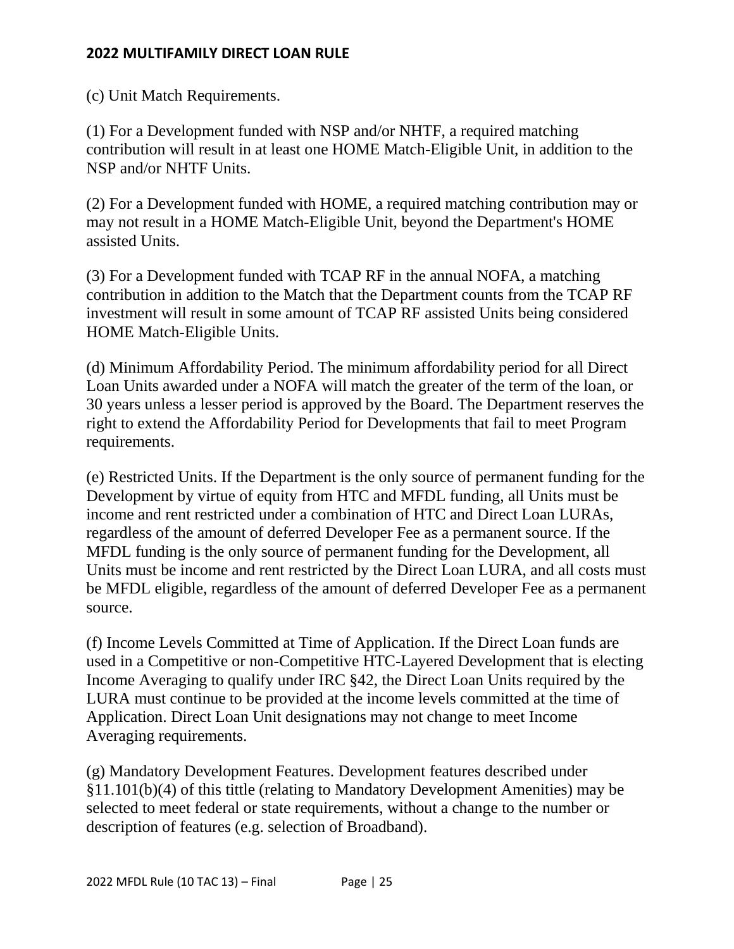(c) Unit Match Requirements.

(1) For a Development funded with NSP and/or NHTF, a required matching contribution will result in at least one HOME Match-Eligible Unit, in addition to the NSP and/or NHTF Units.

(2) For a Development funded with HOME, a required matching contribution may or may not result in a HOME Match-Eligible Unit, beyond the Department's HOME assisted Units.

(3) For a Development funded with TCAP RF in the annual NOFA, a matching contribution in addition to the Match that the Department counts from the TCAP RF investment will result in some amount of TCAP RF assisted Units being considered HOME Match-Eligible Units.

(d) Minimum Affordability Period. The minimum affordability period for all Direct Loan Units awarded under a NOFA will match the greater of the term of the loan, or 30 years unless a lesser period is approved by the Board. The Department reserves the right to extend the Affordability Period for Developments that fail to meet Program requirements.

(e) Restricted Units. If the Department is the only source of permanent funding for the Development by virtue of equity from HTC and MFDL funding, all Units must be income and rent restricted under a combination of HTC and Direct Loan LURAs, regardless of the amount of deferred Developer Fee as a permanent source. If the MFDL funding is the only source of permanent funding for the Development, all Units must be income and rent restricted by the Direct Loan LURA, and all costs must be MFDL eligible, regardless of the amount of deferred Developer Fee as a permanent source.

(f) Income Levels Committed at Time of Application. If the Direct Loan funds are used in a Competitive or non-Competitive HTC-Layered Development that is electing Income Averaging to qualify under IRC §42, the Direct Loan Units required by the LURA must continue to be provided at the income levels committed at the time of Application. Direct Loan Unit designations may not change to meet Income Averaging requirements.

(g) Mandatory Development Features. Development features described under §11.101(b)(4) of this tittle (relating to Mandatory Development Amenities) may be selected to meet federal or state requirements, without a change to the number or description of features (e.g. selection of Broadband).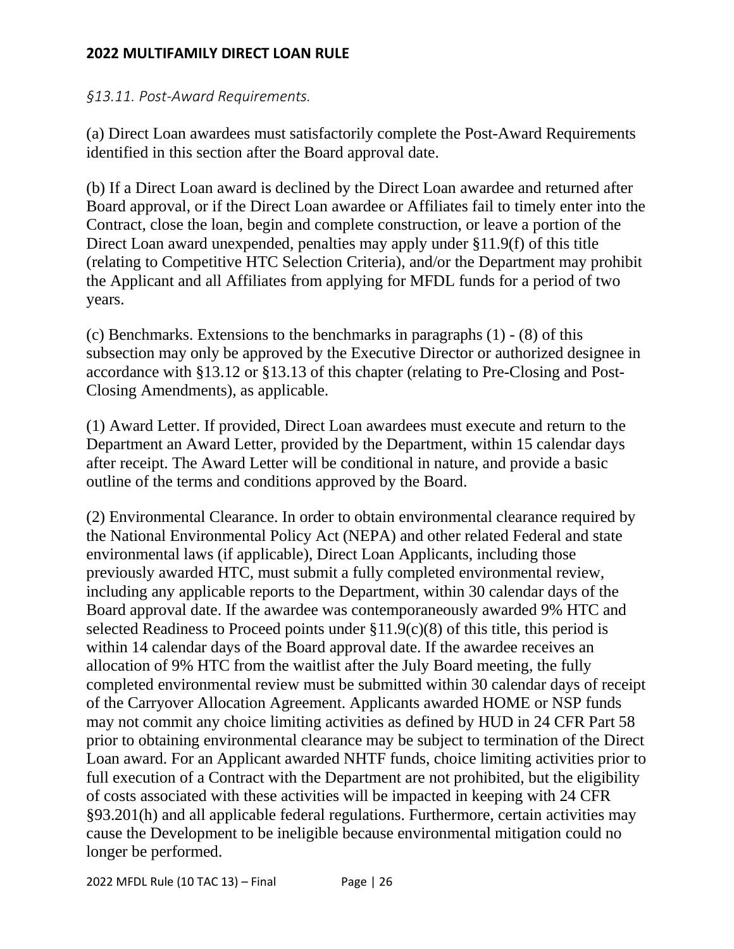## *§13.11. Post-Award Requirements.*

(a) Direct Loan awardees must satisfactorily complete the Post-Award Requirements identified in this section after the Board approval date.

(b) If a Direct Loan award is declined by the Direct Loan awardee and returned after Board approval, or if the Direct Loan awardee or Affiliates fail to timely enter into the Contract, close the loan, begin and complete construction, or leave a portion of the Direct Loan award unexpended, penalties may apply under §11.9(f) of this title (relating to Competitive HTC Selection Criteria), and/or the Department may prohibit the Applicant and all Affiliates from applying for MFDL funds for a period of two years.

(c) Benchmarks. Extensions to the benchmarks in paragraphs (1) - (8) of this subsection may only be approved by the Executive Director or authorized designee in accordance with §13.12 or §13.13 of this chapter (relating to Pre-Closing and Post-Closing Amendments), as applicable.

(1) Award Letter. If provided, Direct Loan awardees must execute and return to the Department an Award Letter, provided by the Department, within 15 calendar days after receipt. The Award Letter will be conditional in nature, and provide a basic outline of the terms and conditions approved by the Board.

(2) Environmental Clearance. In order to obtain environmental clearance required by the National Environmental Policy Act (NEPA) and other related Federal and state environmental laws (if applicable), Direct Loan Applicants, including those previously awarded HTC, must submit a fully completed environmental review, including any applicable reports to the Department, within 30 calendar days of the Board approval date. If the awardee was contemporaneously awarded 9% HTC and selected Readiness to Proceed points under  $\S 11.9(c)(8)$  of this title, this period is within 14 calendar days of the Board approval date. If the awardee receives an allocation of 9% HTC from the waitlist after the July Board meeting, the fully completed environmental review must be submitted within 30 calendar days of receipt of the Carryover Allocation Agreement. Applicants awarded HOME or NSP funds may not commit any choice limiting activities as defined by HUD in 24 CFR Part 58 prior to obtaining environmental clearance may be subject to termination of the Direct Loan award. For an Applicant awarded NHTF funds, choice limiting activities prior to full execution of a Contract with the Department are not prohibited, but the eligibility of costs associated with these activities will be impacted in keeping with 24 CFR §93.201(h) and all applicable federal regulations. Furthermore, certain activities may cause the Development to be ineligible because environmental mitigation could no longer be performed.

2022 MFDL Rule (10 TAC 13) – Final Page | 26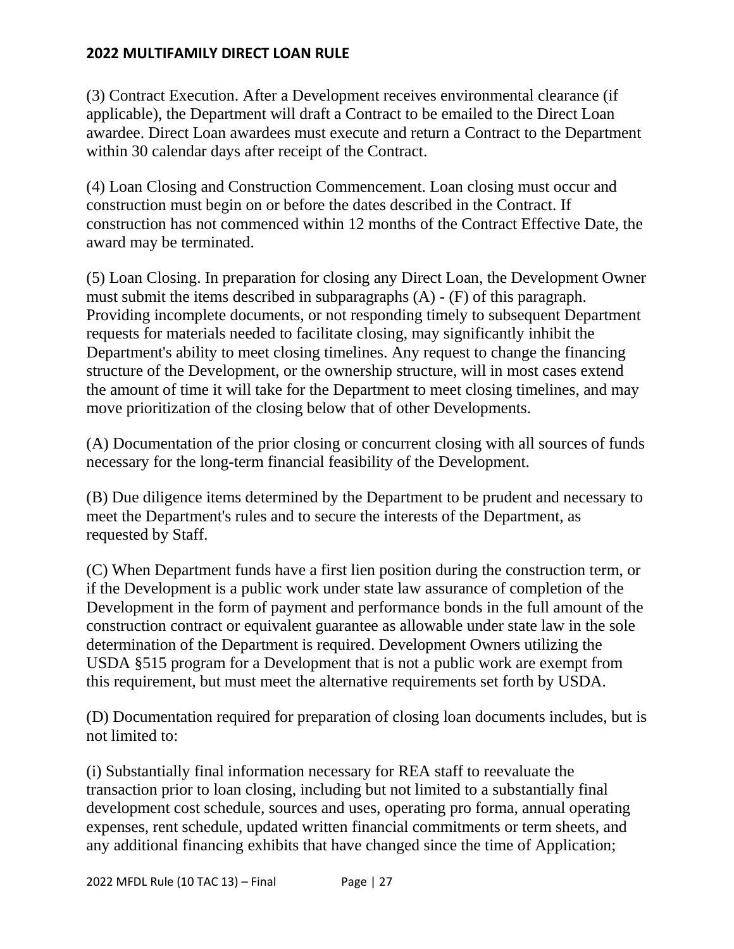(3) Contract Execution. After a Development receives environmental clearance (if applicable), the Department will draft a Contract to be emailed to the Direct Loan awardee. Direct Loan awardees must execute and return a Contract to the Department within 30 calendar days after receipt of the Contract.

(4) Loan Closing and Construction Commencement. Loan closing must occur and construction must begin on or before the dates described in the Contract. If construction has not commenced within 12 months of the Contract Effective Date, the award may be terminated.

(5) Loan Closing. In preparation for closing any Direct Loan, the Development Owner must submit the items described in subparagraphs (A) - (F) of this paragraph. Providing incomplete documents, or not responding timely to subsequent Department requests for materials needed to facilitate closing, may significantly inhibit the Department's ability to meet closing timelines. Any request to change the financing structure of the Development, or the ownership structure, will in most cases extend the amount of time it will take for the Department to meet closing timelines, and may move prioritization of the closing below that of other Developments.

(A) Documentation of the prior closing or concurrent closing with all sources of funds necessary for the long-term financial feasibility of the Development.

(B) Due diligence items determined by the Department to be prudent and necessary to meet the Department's rules and to secure the interests of the Department, as requested by Staff.

(C) When Department funds have a first lien position during the construction term, or if the Development is a public work under state law assurance of completion of the Development in the form of payment and performance bonds in the full amount of the construction contract or equivalent guarantee as allowable under state law in the sole determination of the Department is required. Development Owners utilizing the USDA §515 program for a Development that is not a public work are exempt from this requirement, but must meet the alternative requirements set forth by USDA.

(D) Documentation required for preparation of closing loan documents includes, but is not limited to:

(i) Substantially final information necessary for REA staff to reevaluate the transaction prior to loan closing, including but not limited to a substantially final development cost schedule, sources and uses, operating pro forma, annual operating expenses, rent schedule, updated written financial commitments or term sheets, and any additional financing exhibits that have changed since the time of Application;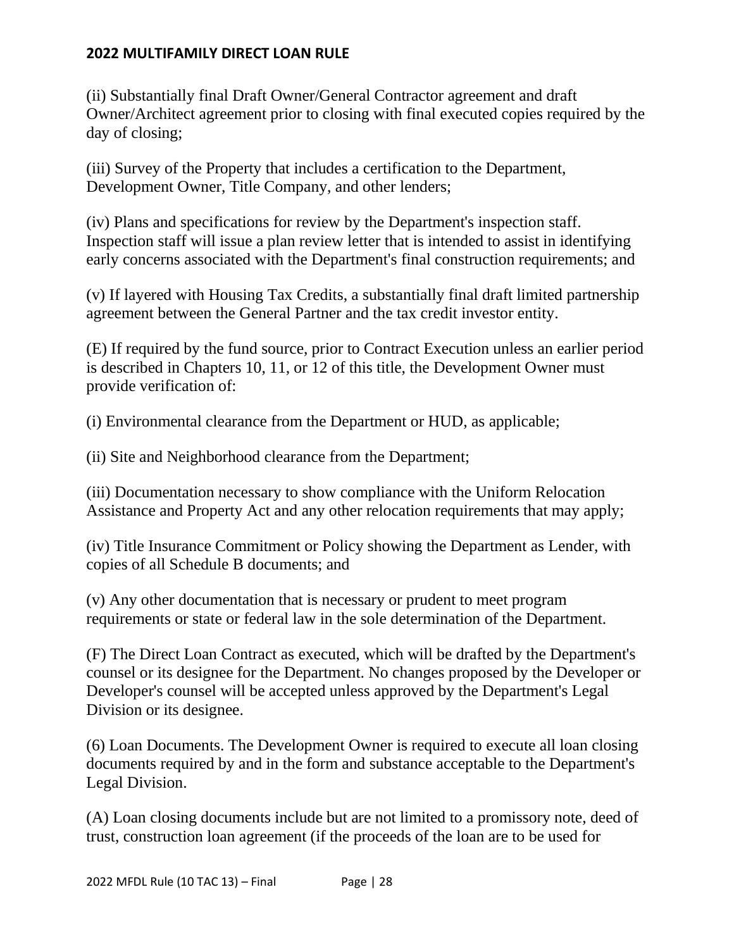(ii) Substantially final Draft Owner/General Contractor agreement and draft Owner/Architect agreement prior to closing with final executed copies required by the day of closing;

(iii) Survey of the Property that includes a certification to the Department, Development Owner, Title Company, and other lenders;

(iv) Plans and specifications for review by the Department's inspection staff. Inspection staff will issue a plan review letter that is intended to assist in identifying early concerns associated with the Department's final construction requirements; and

(v) If layered with Housing Tax Credits, a substantially final draft limited partnership agreement between the General Partner and the tax credit investor entity.

(E) If required by the fund source, prior to Contract Execution unless an earlier period is described in Chapters 10, 11, or 12 of this title, the Development Owner must provide verification of:

(i) Environmental clearance from the Department or HUD, as applicable;

(ii) Site and Neighborhood clearance from the Department;

(iii) Documentation necessary to show compliance with the Uniform Relocation Assistance and Property Act and any other relocation requirements that may apply;

(iv) Title Insurance Commitment or Policy showing the Department as Lender, with copies of all Schedule B documents; and

(v) Any other documentation that is necessary or prudent to meet program requirements or state or federal law in the sole determination of the Department.

(F) The Direct Loan Contract as executed, which will be drafted by the Department's counsel or its designee for the Department. No changes proposed by the Developer or Developer's counsel will be accepted unless approved by the Department's Legal Division or its designee.

(6) Loan Documents. The Development Owner is required to execute all loan closing documents required by and in the form and substance acceptable to the Department's Legal Division.

(A) Loan closing documents include but are not limited to a promissory note, deed of trust, construction loan agreement (if the proceeds of the loan are to be used for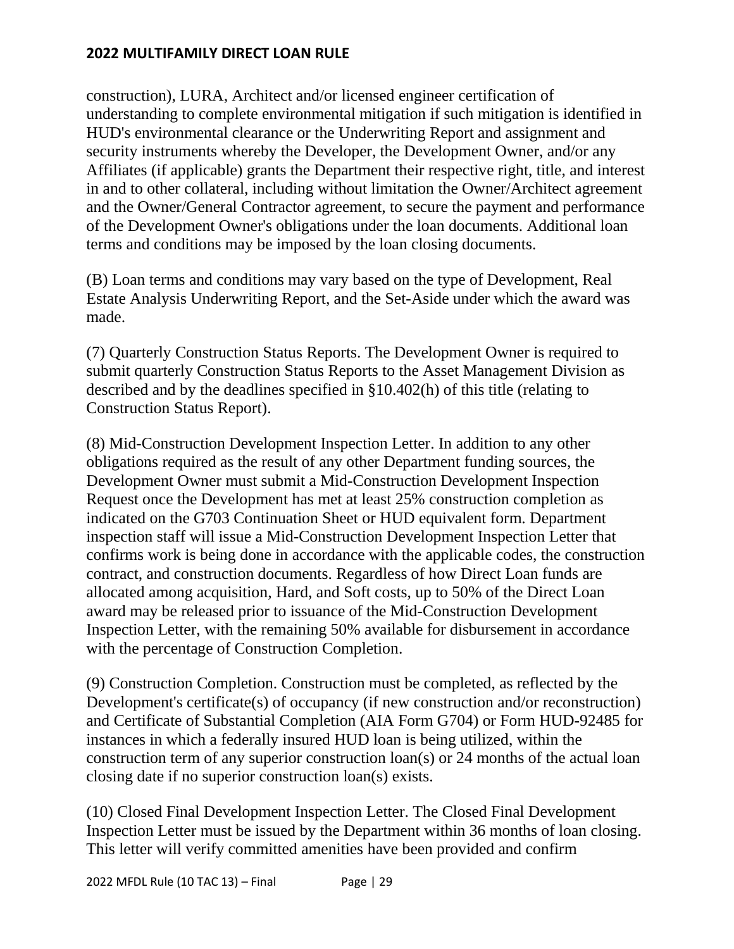construction), LURA, Architect and/or licensed engineer certification of understanding to complete environmental mitigation if such mitigation is identified in HUD's environmental clearance or the Underwriting Report and assignment and security instruments whereby the Developer, the Development Owner, and/or any Affiliates (if applicable) grants the Department their respective right, title, and interest in and to other collateral, including without limitation the Owner/Architect agreement and the Owner/General Contractor agreement, to secure the payment and performance of the Development Owner's obligations under the loan documents. Additional loan terms and conditions may be imposed by the loan closing documents.

(B) Loan terms and conditions may vary based on the type of Development, Real Estate Analysis Underwriting Report, and the Set-Aside under which the award was made.

(7) Quarterly Construction Status Reports. The Development Owner is required to submit quarterly Construction Status Reports to the Asset Management Division as described and by the deadlines specified in §10.402(h) of this title (relating to Construction Status Report).

(8) Mid-Construction Development Inspection Letter. In addition to any other obligations required as the result of any other Department funding sources, the Development Owner must submit a Mid-Construction Development Inspection Request once the Development has met at least 25% construction completion as indicated on the G703 Continuation Sheet or HUD equivalent form. Department inspection staff will issue a Mid-Construction Development Inspection Letter that confirms work is being done in accordance with the applicable codes, the construction contract, and construction documents. Regardless of how Direct Loan funds are allocated among acquisition, Hard, and Soft costs, up to 50% of the Direct Loan award may be released prior to issuance of the Mid-Construction Development Inspection Letter, with the remaining 50% available for disbursement in accordance with the percentage of Construction Completion.

(9) Construction Completion. Construction must be completed, as reflected by the Development's certificate(s) of occupancy (if new construction and/or reconstruction) and Certificate of Substantial Completion (AIA Form G704) or Form HUD-92485 for instances in which a federally insured HUD loan is being utilized, within the construction term of any superior construction loan(s) or 24 months of the actual loan closing date if no superior construction loan(s) exists.

(10) Closed Final Development Inspection Letter. The Closed Final Development Inspection Letter must be issued by the Department within 36 months of loan closing. This letter will verify committed amenities have been provided and confirm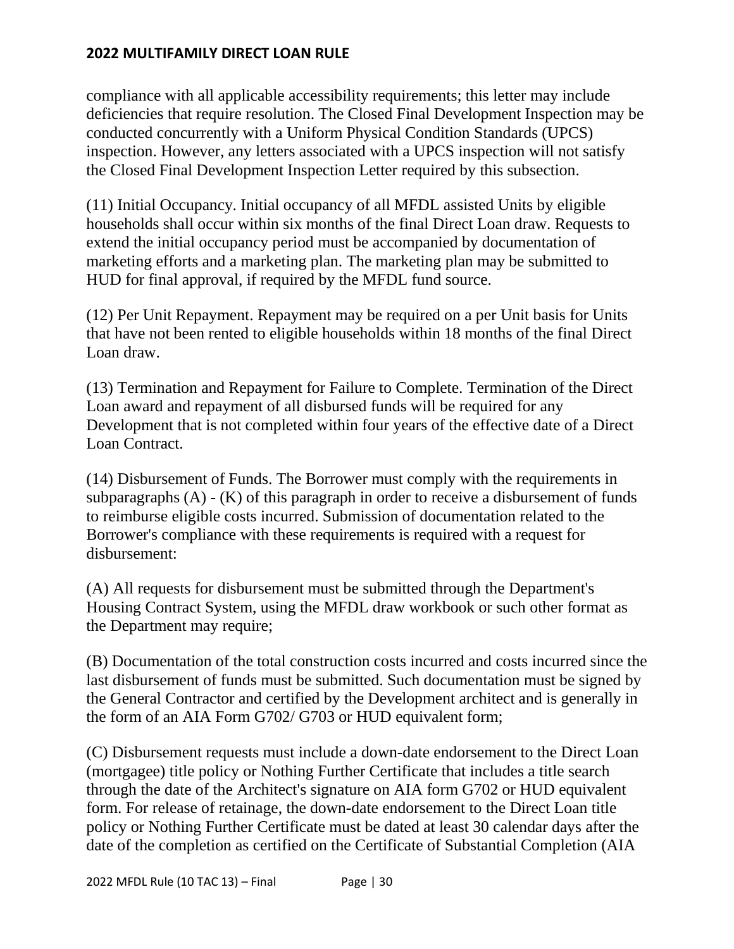compliance with all applicable accessibility requirements; this letter may include deficiencies that require resolution. The Closed Final Development Inspection may be conducted concurrently with a Uniform Physical Condition Standards (UPCS) inspection. However, any letters associated with a UPCS inspection will not satisfy the Closed Final Development Inspection Letter required by this subsection.

(11) Initial Occupancy. Initial occupancy of all MFDL assisted Units by eligible households shall occur within six months of the final Direct Loan draw. Requests to extend the initial occupancy period must be accompanied by documentation of marketing efforts and a marketing plan. The marketing plan may be submitted to HUD for final approval, if required by the MFDL fund source.

(12) Per Unit Repayment. Repayment may be required on a per Unit basis for Units that have not been rented to eligible households within 18 months of the final Direct Loan draw.

(13) Termination and Repayment for Failure to Complete. Termination of the Direct Loan award and repayment of all disbursed funds will be required for any Development that is not completed within four years of the effective date of a Direct Loan Contract.

(14) Disbursement of Funds. The Borrower must comply with the requirements in subparagraphs (A) - (K) of this paragraph in order to receive a disbursement of funds to reimburse eligible costs incurred. Submission of documentation related to the Borrower's compliance with these requirements is required with a request for disbursement:

(A) All requests for disbursement must be submitted through the Department's Housing Contract System, using the MFDL draw workbook or such other format as the Department may require;

(B) Documentation of the total construction costs incurred and costs incurred since the last disbursement of funds must be submitted. Such documentation must be signed by the General Contractor and certified by the Development architect and is generally in the form of an AIA Form G702/ G703 or HUD equivalent form;

(C) Disbursement requests must include a down-date endorsement to the Direct Loan (mortgagee) title policy or Nothing Further Certificate that includes a title search through the date of the Architect's signature on AIA form G702 or HUD equivalent form. For release of retainage, the down-date endorsement to the Direct Loan title policy or Nothing Further Certificate must be dated at least 30 calendar days after the date of the completion as certified on the Certificate of Substantial Completion (AIA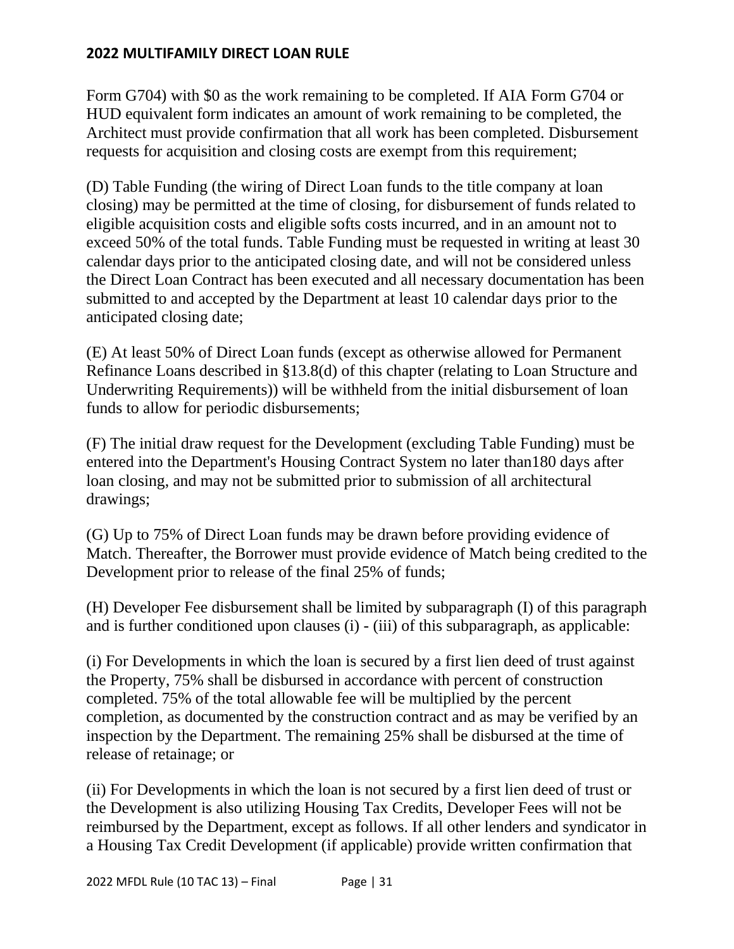Form G704) with \$0 as the work remaining to be completed. If AIA Form G704 or HUD equivalent form indicates an amount of work remaining to be completed, the Architect must provide confirmation that all work has been completed. Disbursement requests for acquisition and closing costs are exempt from this requirement;

(D) Table Funding (the wiring of Direct Loan funds to the title company at loan closing) may be permitted at the time of closing, for disbursement of funds related to eligible acquisition costs and eligible softs costs incurred, and in an amount not to exceed 50% of the total funds. Table Funding must be requested in writing at least 30 calendar days prior to the anticipated closing date, and will not be considered unless the Direct Loan Contract has been executed and all necessary documentation has been submitted to and accepted by the Department at least 10 calendar days prior to the anticipated closing date;

(E) At least 50% of Direct Loan funds (except as otherwise allowed for Permanent Refinance Loans described in §13.8(d) of this chapter (relating to Loan Structure and Underwriting Requirements)) will be withheld from the initial disbursement of loan funds to allow for periodic disbursements;

(F) The initial draw request for the Development (excluding Table Funding) must be entered into the Department's Housing Contract System no later than180 days after loan closing, and may not be submitted prior to submission of all architectural drawings;

(G) Up to 75% of Direct Loan funds may be drawn before providing evidence of Match. Thereafter, the Borrower must provide evidence of Match being credited to the Development prior to release of the final 25% of funds;

(H) Developer Fee disbursement shall be limited by subparagraph (I) of this paragraph and is further conditioned upon clauses (i) - (iii) of this subparagraph, as applicable:

(i) For Developments in which the loan is secured by a first lien deed of trust against the Property, 75% shall be disbursed in accordance with percent of construction completed. 75% of the total allowable fee will be multiplied by the percent completion, as documented by the construction contract and as may be verified by an inspection by the Department. The remaining 25% shall be disbursed at the time of release of retainage; or

(ii) For Developments in which the loan is not secured by a first lien deed of trust or the Development is also utilizing Housing Tax Credits, Developer Fees will not be reimbursed by the Department, except as follows. If all other lenders and syndicator in a Housing Tax Credit Development (if applicable) provide written confirmation that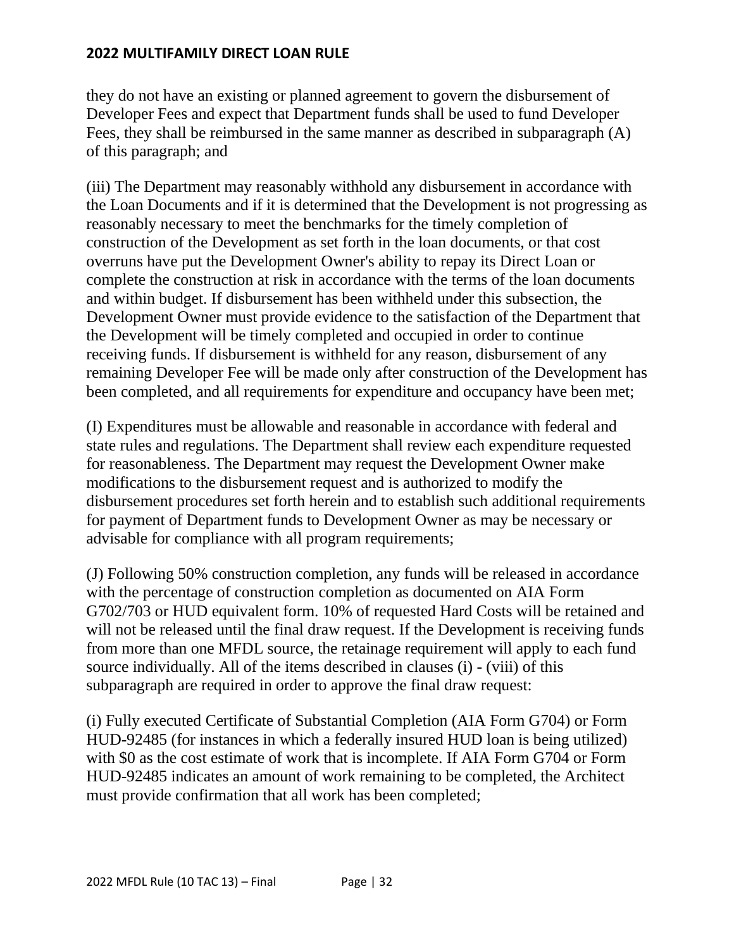they do not have an existing or planned agreement to govern the disbursement of Developer Fees and expect that Department funds shall be used to fund Developer Fees, they shall be reimbursed in the same manner as described in subparagraph (A) of this paragraph; and

(iii) The Department may reasonably withhold any disbursement in accordance with the Loan Documents and if it is determined that the Development is not progressing as reasonably necessary to meet the benchmarks for the timely completion of construction of the Development as set forth in the loan documents, or that cost overruns have put the Development Owner's ability to repay its Direct Loan or complete the construction at risk in accordance with the terms of the loan documents and within budget. If disbursement has been withheld under this subsection, the Development Owner must provide evidence to the satisfaction of the Department that the Development will be timely completed and occupied in order to continue receiving funds. If disbursement is withheld for any reason, disbursement of any remaining Developer Fee will be made only after construction of the Development has been completed, and all requirements for expenditure and occupancy have been met;

(I) Expenditures must be allowable and reasonable in accordance with federal and state rules and regulations. The Department shall review each expenditure requested for reasonableness. The Department may request the Development Owner make modifications to the disbursement request and is authorized to modify the disbursement procedures set forth herein and to establish such additional requirements for payment of Department funds to Development Owner as may be necessary or advisable for compliance with all program requirements;

(J) Following 50% construction completion, any funds will be released in accordance with the percentage of construction completion as documented on AIA Form G702/703 or HUD equivalent form. 10% of requested Hard Costs will be retained and will not be released until the final draw request. If the Development is receiving funds from more than one MFDL source, the retainage requirement will apply to each fund source individually. All of the items described in clauses (i) - (viii) of this subparagraph are required in order to approve the final draw request:

(i) Fully executed Certificate of Substantial Completion (AIA Form G704) or Form HUD-92485 (for instances in which a federally insured HUD loan is being utilized) with \$0 as the cost estimate of work that is incomplete. If AIA Form G704 or Form HUD-92485 indicates an amount of work remaining to be completed, the Architect must provide confirmation that all work has been completed;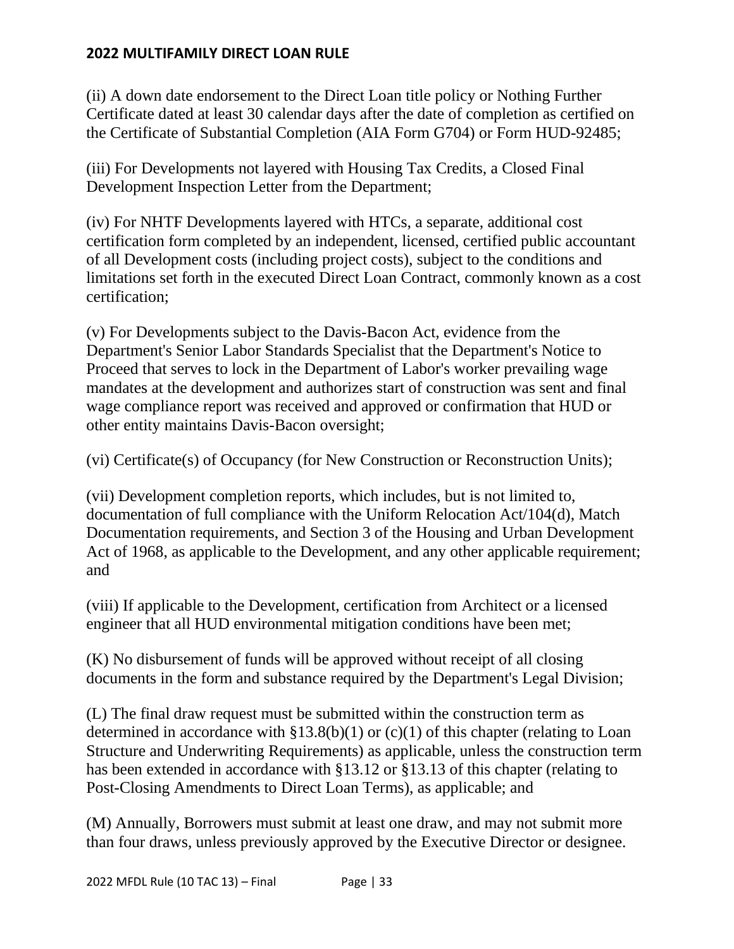(ii) A down date endorsement to the Direct Loan title policy or Nothing Further Certificate dated at least 30 calendar days after the date of completion as certified on the Certificate of Substantial Completion (AIA Form G704) or Form HUD-92485;

(iii) For Developments not layered with Housing Tax Credits, a Closed Final Development Inspection Letter from the Department;

(iv) For NHTF Developments layered with HTCs, a separate, additional cost certification form completed by an independent, licensed, certified public accountant of all Development costs (including project costs), subject to the conditions and limitations set forth in the executed Direct Loan Contract, commonly known as a cost certification;

(v) For Developments subject to the Davis-Bacon Act, evidence from the Department's Senior Labor Standards Specialist that the Department's Notice to Proceed that serves to lock in the Department of Labor's worker prevailing wage mandates at the development and authorizes start of construction was sent and final wage compliance report was received and approved or confirmation that HUD or other entity maintains Davis-Bacon oversight;

(vi) Certificate(s) of Occupancy (for New Construction or Reconstruction Units);

(vii) Development completion reports, which includes, but is not limited to, documentation of full compliance with the Uniform Relocation Act/104(d), Match Documentation requirements, and Section 3 of the Housing and Urban Development Act of 1968, as applicable to the Development, and any other applicable requirement; and

(viii) If applicable to the Development, certification from Architect or a licensed engineer that all HUD environmental mitigation conditions have been met;

(K) No disbursement of funds will be approved without receipt of all closing documents in the form and substance required by the Department's Legal Division;

(L) The final draw request must be submitted within the construction term as determined in accordance with  $$13.8(b)(1)$  or (c)(1) of this chapter (relating to Loan Structure and Underwriting Requirements) as applicable, unless the construction term has been extended in accordance with §13.12 or §13.13 of this chapter (relating to Post-Closing Amendments to Direct Loan Terms), as applicable; and

(M) Annually, Borrowers must submit at least one draw, and may not submit more than four draws, unless previously approved by the Executive Director or designee.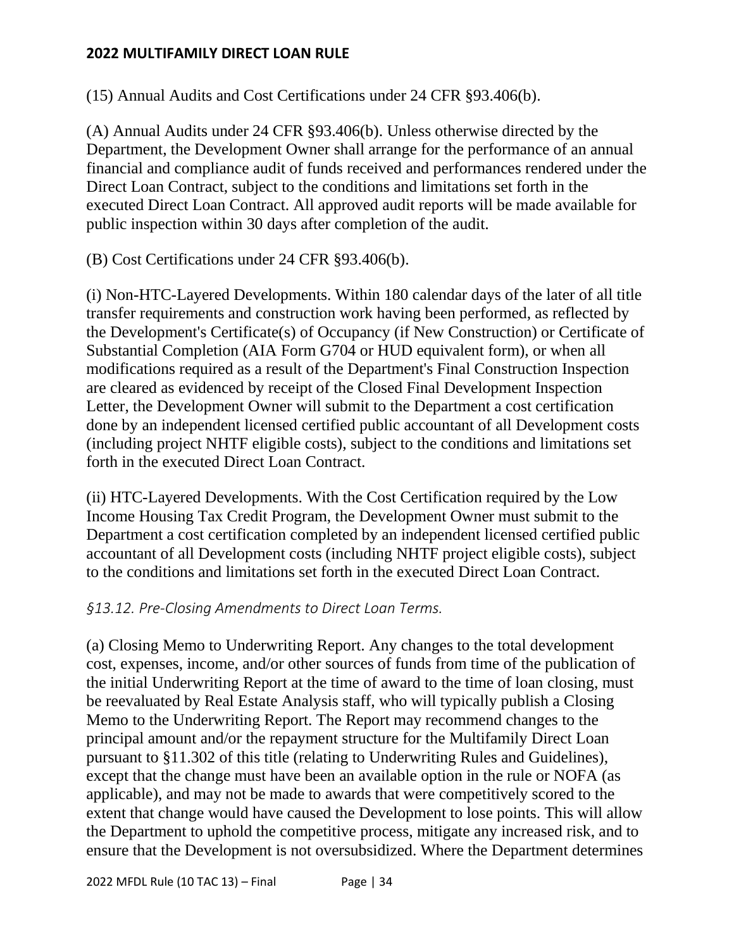(15) Annual Audits and Cost Certifications under 24 CFR §93.406(b).

(A) Annual Audits under 24 CFR §93.406(b). Unless otherwise directed by the Department, the Development Owner shall arrange for the performance of an annual financial and compliance audit of funds received and performances rendered under the Direct Loan Contract, subject to the conditions and limitations set forth in the executed Direct Loan Contract. All approved audit reports will be made available for public inspection within 30 days after completion of the audit.

(B) Cost Certifications under 24 CFR §93.406(b).

(i) Non-HTC-Layered Developments. Within 180 calendar days of the later of all title transfer requirements and construction work having been performed, as reflected by the Development's Certificate(s) of Occupancy (if New Construction) or Certificate of Substantial Completion (AIA Form G704 or HUD equivalent form), or when all modifications required as a result of the Department's Final Construction Inspection are cleared as evidenced by receipt of the Closed Final Development Inspection Letter, the Development Owner will submit to the Department a cost certification done by an independent licensed certified public accountant of all Development costs (including project NHTF eligible costs), subject to the conditions and limitations set forth in the executed Direct Loan Contract.

(ii) HTC-Layered Developments. With the Cost Certification required by the Low Income Housing Tax Credit Program, the Development Owner must submit to the Department a cost certification completed by an independent licensed certified public accountant of all Development costs (including NHTF project eligible costs), subject to the conditions and limitations set forth in the executed Direct Loan Contract.

# *§13.12. Pre-Closing Amendments to Direct Loan Terms.*

(a) Closing Memo to Underwriting Report. Any changes to the total development cost, expenses, income, and/or other sources of funds from time of the publication of the initial Underwriting Report at the time of award to the time of loan closing, must be reevaluated by Real Estate Analysis staff, who will typically publish a Closing Memo to the Underwriting Report. The Report may recommend changes to the principal amount and/or the repayment structure for the Multifamily Direct Loan pursuant to §11.302 of this title (relating to Underwriting Rules and Guidelines), except that the change must have been an available option in the rule or NOFA (as applicable), and may not be made to awards that were competitively scored to the extent that change would have caused the Development to lose points. This will allow the Department to uphold the competitive process, mitigate any increased risk, and to ensure that the Development is not oversubsidized. Where the Department determines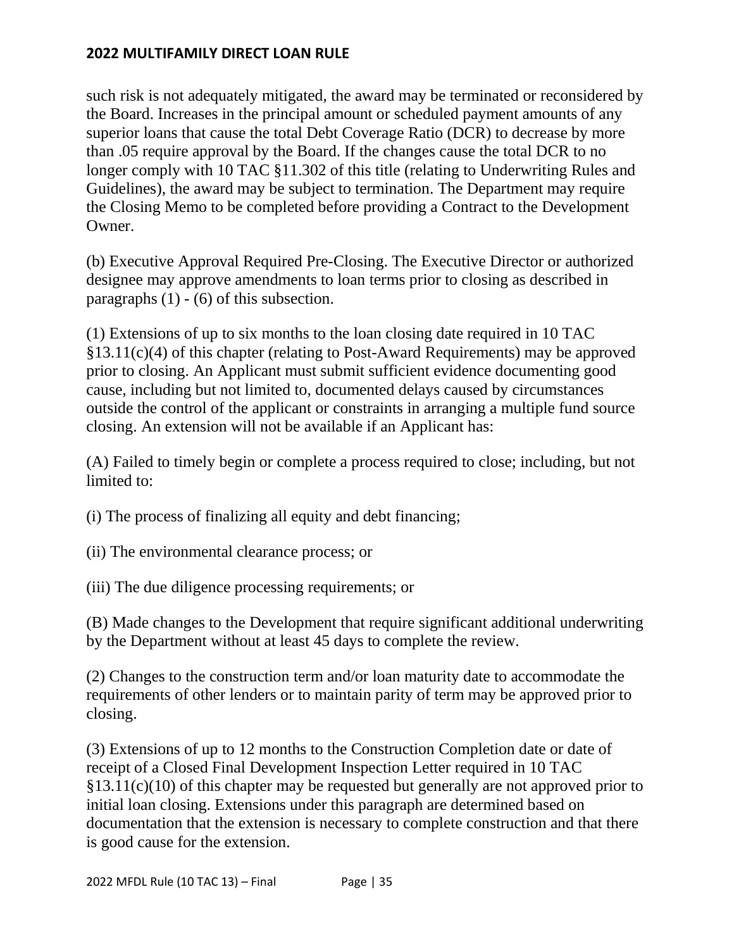such risk is not adequately mitigated, the award may be terminated or reconsidered by the Board. Increases in the principal amount or scheduled payment amounts of any superior loans that cause the total Debt Coverage Ratio (DCR) to decrease by more than .05 require approval by the Board. If the changes cause the total DCR to no longer comply with 10 TAC §11.302 of this title (relating to Underwriting Rules and Guidelines), the award may be subject to termination. The Department may require the Closing Memo to be completed before providing a Contract to the Development Owner.

(b) Executive Approval Required Pre-Closing. The Executive Director or authorized designee may approve amendments to loan terms prior to closing as described in paragraphs  $(1)$  -  $(6)$  of this subsection.

(1) Extensions of up to six months to the loan closing date required in 10 TAC §13.11(c)(4) of this chapter (relating to Post-Award Requirements) may be approved prior to closing. An Applicant must submit sufficient evidence documenting good cause, including but not limited to, documented delays caused by circumstances outside the control of the applicant or constraints in arranging a multiple fund source closing. An extension will not be available if an Applicant has:

(A) Failed to timely begin or complete a process required to close; including, but not limited to:

(i) The process of finalizing all equity and debt financing;

(ii) The environmental clearance process; or

(iii) The due diligence processing requirements; or

(B) Made changes to the Development that require significant additional underwriting by the Department without at least 45 days to complete the review.

(2) Changes to the construction term and/or loan maturity date to accommodate the requirements of other lenders or to maintain parity of term may be approved prior to closing.

(3) Extensions of up to 12 months to the Construction Completion date or date of receipt of a Closed Final Development Inspection Letter required in 10 TAC  $§13.11(c)(10)$  of this chapter may be requested but generally are not approved prior to initial loan closing. Extensions under this paragraph are determined based on documentation that the extension is necessary to complete construction and that there is good cause for the extension.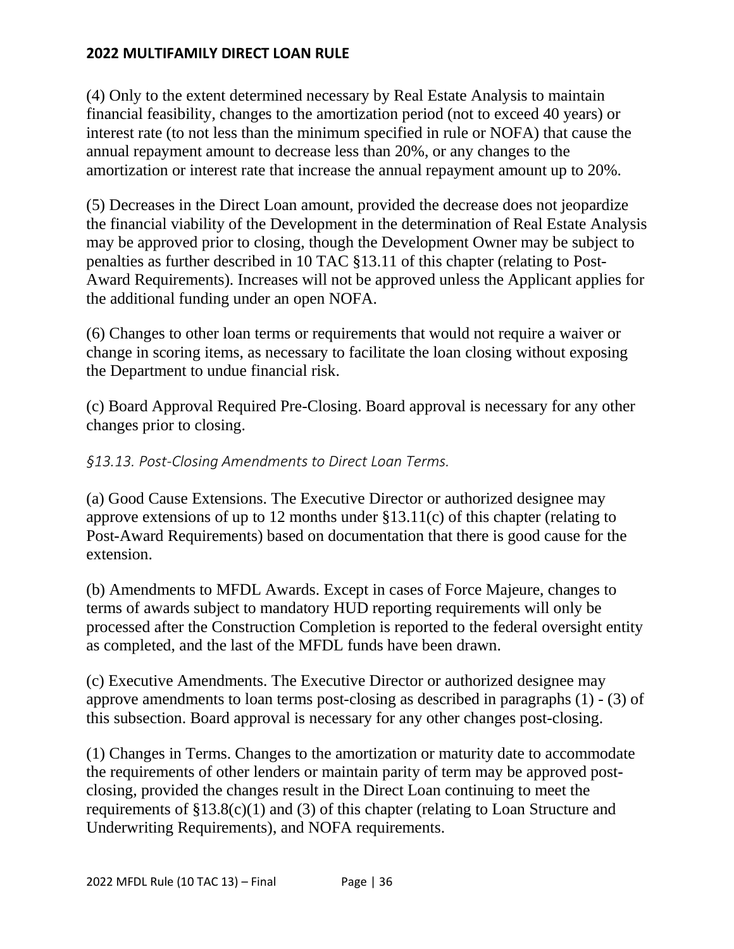(4) Only to the extent determined necessary by Real Estate Analysis to maintain financial feasibility, changes to the amortization period (not to exceed 40 years) or interest rate (to not less than the minimum specified in rule or NOFA) that cause the annual repayment amount to decrease less than 20%, or any changes to the amortization or interest rate that increase the annual repayment amount up to 20%.

(5) Decreases in the Direct Loan amount, provided the decrease does not jeopardize the financial viability of the Development in the determination of Real Estate Analysis may be approved prior to closing, though the Development Owner may be subject to penalties as further described in 10 TAC §13.11 of this chapter (relating to Post-Award Requirements). Increases will not be approved unless the Applicant applies for the additional funding under an open NOFA.

(6) Changes to other loan terms or requirements that would not require a waiver or change in scoring items, as necessary to facilitate the loan closing without exposing the Department to undue financial risk.

(c) Board Approval Required Pre-Closing. Board approval is necessary for any other changes prior to closing.

# *§13.13. Post-Closing Amendments to Direct Loan Terms.*

(a) Good Cause Extensions. The Executive Director or authorized designee may approve extensions of up to 12 months under §13.11(c) of this chapter (relating to Post-Award Requirements) based on documentation that there is good cause for the extension.

(b) Amendments to MFDL Awards. Except in cases of Force Majeure, changes to terms of awards subject to mandatory HUD reporting requirements will only be processed after the Construction Completion is reported to the federal oversight entity as completed, and the last of the MFDL funds have been drawn.

(c) Executive Amendments. The Executive Director or authorized designee may approve amendments to loan terms post-closing as described in paragraphs (1) - (3) of this subsection. Board approval is necessary for any other changes post-closing.

(1) Changes in Terms. Changes to the amortization or maturity date to accommodate the requirements of other lenders or maintain parity of term may be approved postclosing, provided the changes result in the Direct Loan continuing to meet the requirements of  $\S 13.8(c)(1)$  and (3) of this chapter (relating to Loan Structure and Underwriting Requirements), and NOFA requirements.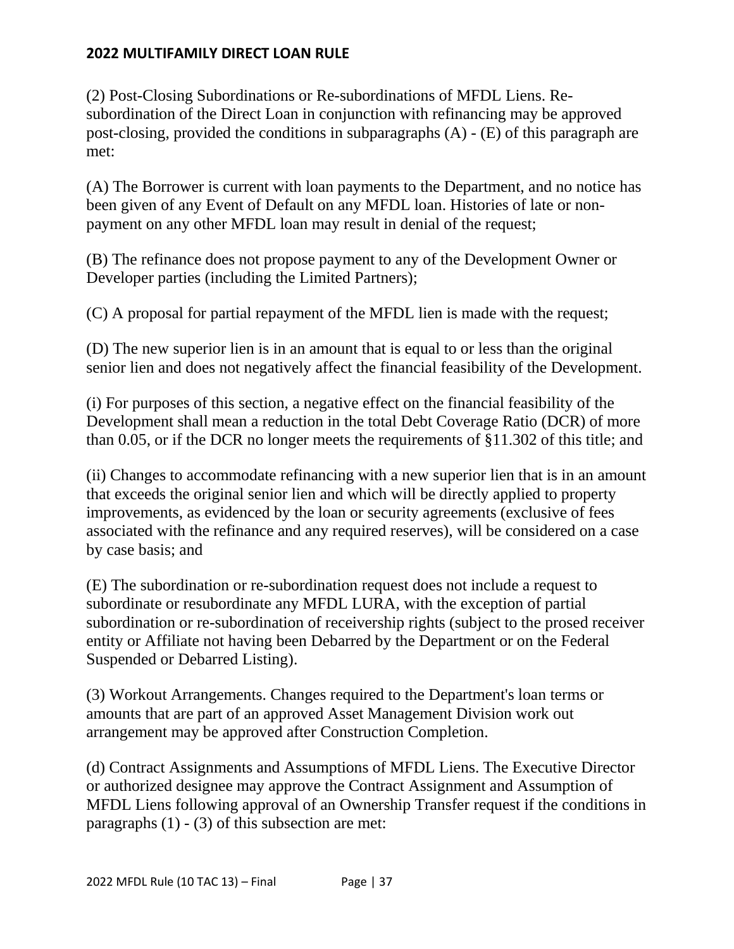(2) Post-Closing Subordinations or Re-subordinations of MFDL Liens. Resubordination of the Direct Loan in conjunction with refinancing may be approved post-closing, provided the conditions in subparagraphs (A) - (E) of this paragraph are met:

(A) The Borrower is current with loan payments to the Department, and no notice has been given of any Event of Default on any MFDL loan. Histories of late or nonpayment on any other MFDL loan may result in denial of the request;

(B) The refinance does not propose payment to any of the Development Owner or Developer parties (including the Limited Partners);

(C) A proposal for partial repayment of the MFDL lien is made with the request;

(D) The new superior lien is in an amount that is equal to or less than the original senior lien and does not negatively affect the financial feasibility of the Development.

(i) For purposes of this section, a negative effect on the financial feasibility of the Development shall mean a reduction in the total Debt Coverage Ratio (DCR) of more than 0.05, or if the DCR no longer meets the requirements of §11.302 of this title; and

(ii) Changes to accommodate refinancing with a new superior lien that is in an amount that exceeds the original senior lien and which will be directly applied to property improvements, as evidenced by the loan or security agreements (exclusive of fees associated with the refinance and any required reserves), will be considered on a case by case basis; and

(E) The subordination or re-subordination request does not include a request to subordinate or resubordinate any MFDL LURA, with the exception of partial subordination or re-subordination of receivership rights (subject to the prosed receiver entity or Affiliate not having been Debarred by the Department or on the Federal Suspended or Debarred Listing).

(3) Workout Arrangements. Changes required to the Department's loan terms or amounts that are part of an approved Asset Management Division work out arrangement may be approved after Construction Completion.

(d) Contract Assignments and Assumptions of MFDL Liens. The Executive Director or authorized designee may approve the Contract Assignment and Assumption of MFDL Liens following approval of an Ownership Transfer request if the conditions in paragraphs  $(1)$  -  $(3)$  of this subsection are met: